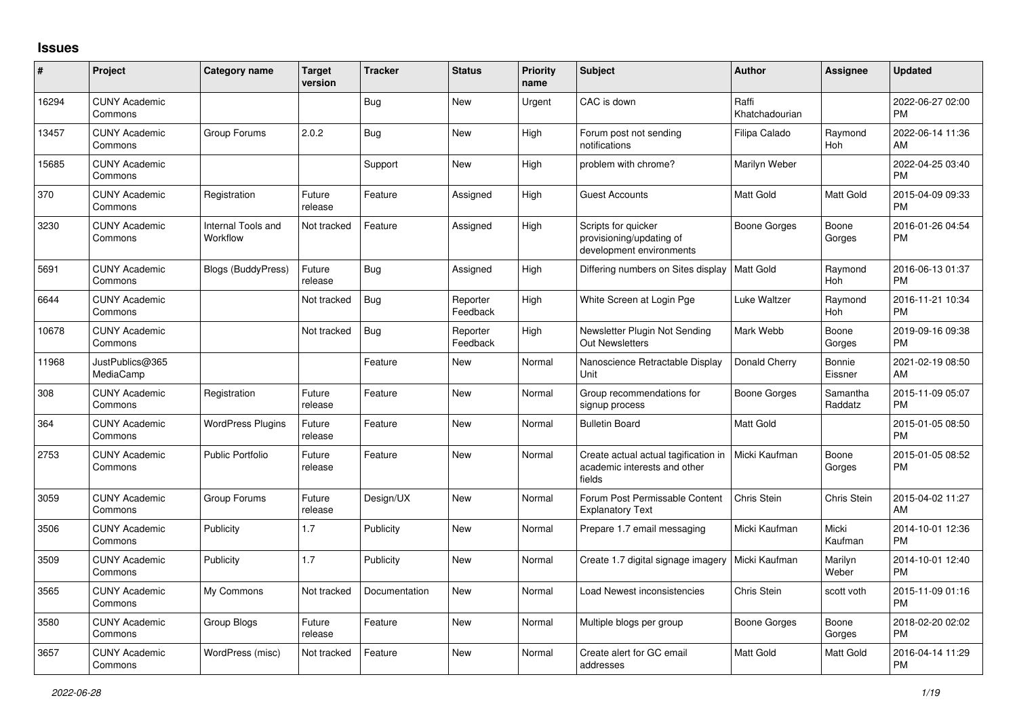## **Issues**

| #     | Project                         | <b>Category name</b>           | <b>Target</b><br>version | <b>Tracker</b> | <b>Status</b>        | Priority<br>name | <b>Subject</b>                                                                 | <b>Author</b>           | <b>Assignee</b>     | <b>Updated</b>                |
|-------|---------------------------------|--------------------------------|--------------------------|----------------|----------------------|------------------|--------------------------------------------------------------------------------|-------------------------|---------------------|-------------------------------|
| 16294 | <b>CUNY Academic</b><br>Commons |                                |                          | <b>Bug</b>     | New                  | Urgent           | CAC is down                                                                    | Raffi<br>Khatchadourian |                     | 2022-06-27 02:00<br><b>PM</b> |
| 13457 | <b>CUNY Academic</b><br>Commons | Group Forums                   | 2.0.2                    | <b>Bug</b>     | New                  | High             | Forum post not sending<br>notifications                                        | Filipa Calado           | Raymond<br>Hoh      | 2022-06-14 11:36<br>AM        |
| 15685 | <b>CUNY Academic</b><br>Commons |                                |                          | Support        | New                  | High             | problem with chrome?                                                           | Marilyn Weber           |                     | 2022-04-25 03:40<br><b>PM</b> |
| 370   | <b>CUNY Academic</b><br>Commons | Registration                   | Future<br>release        | Feature        | Assigned             | High             | <b>Guest Accounts</b>                                                          | Matt Gold               | <b>Matt Gold</b>    | 2015-04-09 09:33<br><b>PM</b> |
| 3230  | <b>CUNY Academic</b><br>Commons | Internal Tools and<br>Workflow | Not tracked              | Feature        | Assigned             | High             | Scripts for quicker<br>provisioning/updating of<br>development environments    | <b>Boone Gorges</b>     | Boone<br>Gorges     | 2016-01-26 04:54<br><b>PM</b> |
| 5691  | <b>CUNY Academic</b><br>Commons | <b>Blogs (BuddyPress)</b>      | Future<br>release        | <b>Bug</b>     | Assigned             | High             | Differing numbers on Sites display                                             | <b>Matt Gold</b>        | Raymond<br>Hoh      | 2016-06-13 01:37<br>PМ        |
| 6644  | <b>CUNY Academic</b><br>Commons |                                | Not tracked              | Bug            | Reporter<br>Feedback | High             | White Screen at Login Pge                                                      | Luke Waltzer            | Raymond<br>Hoh      | 2016-11-21 10:34<br><b>PM</b> |
| 10678 | <b>CUNY Academic</b><br>Commons |                                | Not tracked              | <b>Bug</b>     | Reporter<br>Feedback | High             | Newsletter Plugin Not Sending<br><b>Out Newsletters</b>                        | Mark Webb               | Boone<br>Gorges     | 2019-09-16 09:38<br><b>PM</b> |
| 11968 | JustPublics@365<br>MediaCamp    |                                |                          | Feature        | <b>New</b>           | Normal           | Nanoscience Retractable Display<br>Unit                                        | Donald Cherry           | Bonnie<br>Eissner   | 2021-02-19 08:50<br>AM        |
| 308   | <b>CUNY Academic</b><br>Commons | Registration                   | Future<br>release        | Feature        | <b>New</b>           | Normal           | Group recommendations for<br>signup process                                    | Boone Gorges            | Samantha<br>Raddatz | 2015-11-09 05:07<br><b>PM</b> |
| 364   | <b>CUNY Academic</b><br>Commons | <b>WordPress Plugins</b>       | Future<br>release        | Feature        | New                  | Normal           | <b>Bulletin Board</b>                                                          | Matt Gold               |                     | 2015-01-05 08:50<br><b>PM</b> |
| 2753  | <b>CUNY Academic</b><br>Commons | Public Portfolio               | Future<br>release        | Feature        | New                  | Normal           | Create actual actual tagification in<br>academic interests and other<br>fields | Micki Kaufman           | Boone<br>Gorges     | 2015-01-05 08:52<br>PM        |
| 3059  | <b>CUNY Academic</b><br>Commons | Group Forums                   | Future<br>release        | Design/UX      | New                  | Normal           | Forum Post Permissable Content<br><b>Explanatory Text</b>                      | Chris Stein             | Chris Stein         | 2015-04-02 11:27<br>AM        |
| 3506  | <b>CUNY Academic</b><br>Commons | Publicity                      | 1.7                      | Publicity      | <b>New</b>           | Normal           | Prepare 1.7 email messaging                                                    | Micki Kaufman           | Micki<br>Kaufman    | 2014-10-01 12:36<br><b>PM</b> |
| 3509  | <b>CUNY Academic</b><br>Commons | Publicity                      | 1.7                      | Publicity      | <b>New</b>           | Normal           | Create 1.7 digital signage imagery                                             | Micki Kaufman           | Marilyn<br>Weber    | 2014-10-01 12:40<br><b>PM</b> |
| 3565  | <b>CUNY Academic</b><br>Commons | My Commons                     | Not tracked              | Documentation  | New                  | Normal           | Load Newest inconsistencies                                                    | Chris Stein             | scott voth          | 2015-11-09 01:16<br><b>PM</b> |
| 3580  | <b>CUNY Academic</b><br>Commons | Group Blogs                    | Future<br>release        | Feature        | New                  | Normal           | Multiple blogs per group                                                       | Boone Gorges            | Boone<br>Gorges     | 2018-02-20 02:02<br><b>PM</b> |
| 3657  | <b>CUNY Academic</b><br>Commons | WordPress (misc)               | Not tracked              | Feature        | <b>New</b>           | Normal           | Create alert for GC email<br>addresses                                         | Matt Gold               | <b>Matt Gold</b>    | 2016-04-14 11:29<br><b>PM</b> |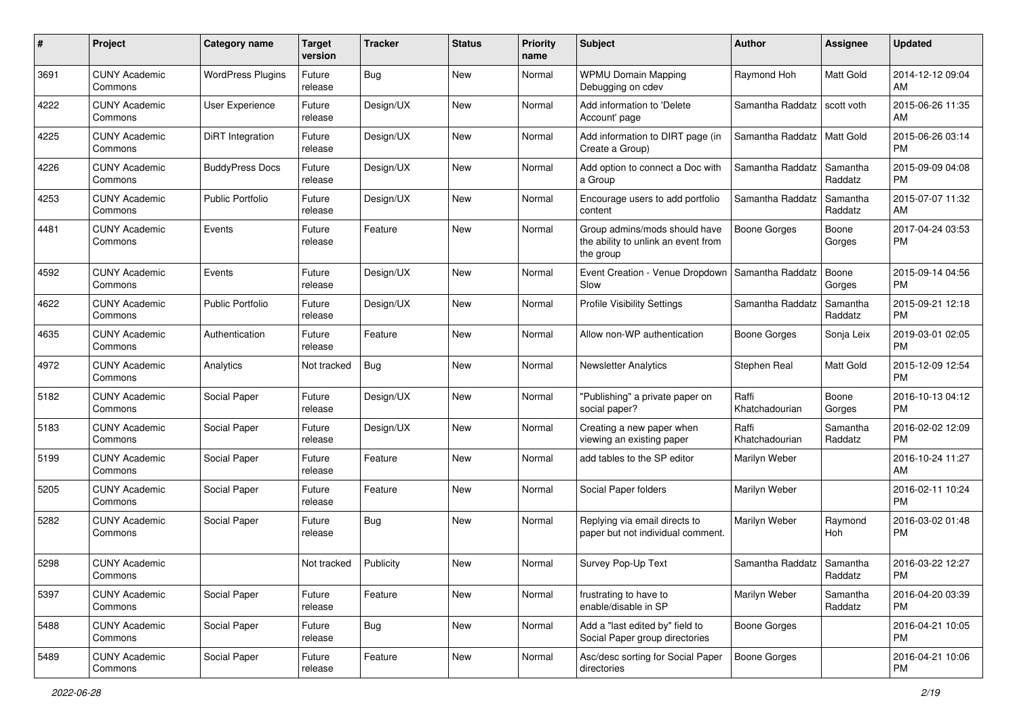| #    | Project                         | <b>Category name</b>     | <b>Target</b><br>version | <b>Tracker</b> | <b>Status</b> | <b>Priority</b><br>name | <b>Subject</b>                                                                    | Author                  | <b>Assignee</b>     | <b>Updated</b>                |
|------|---------------------------------|--------------------------|--------------------------|----------------|---------------|-------------------------|-----------------------------------------------------------------------------------|-------------------------|---------------------|-------------------------------|
| 3691 | <b>CUNY Academic</b><br>Commons | <b>WordPress Plugins</b> | Future<br>release        | <b>Bug</b>     | New           | Normal                  | <b>WPMU Domain Mapping</b><br>Debugging on cdev                                   | Raymond Hoh             | Matt Gold           | 2014-12-12 09:04<br>AM        |
| 4222 | <b>CUNY Academic</b><br>Commons | User Experience          | Future<br>release        | Design/UX      | New           | Normal                  | Add information to 'Delete<br>Account' page                                       | Samantha Raddatz        | scott voth          | 2015-06-26 11:35<br>AM        |
| 4225 | <b>CUNY Academic</b><br>Commons | <b>DiRT</b> Integration  | Future<br>release        | Design/UX      | New           | Normal                  | Add information to DIRT page (in<br>Create a Group)                               | Samantha Raddatz        | Matt Gold           | 2015-06-26 03:14<br><b>PM</b> |
| 4226 | <b>CUNY Academic</b><br>Commons | <b>BuddyPress Docs</b>   | Future<br>release        | Design/UX      | <b>New</b>    | Normal                  | Add option to connect a Doc with<br>a Group                                       | Samantha Raddatz        | Samantha<br>Raddatz | 2015-09-09 04:08<br><b>PM</b> |
| 4253 | <b>CUNY Academic</b><br>Commons | <b>Public Portfolio</b>  | Future<br>release        | Design/UX      | <b>New</b>    | Normal                  | Encourage users to add portfolio<br>content                                       | Samantha Raddatz        | Samantha<br>Raddatz | 2015-07-07 11:32<br>AM        |
| 4481 | <b>CUNY Academic</b><br>Commons | Events                   | Future<br>release        | Feature        | <b>New</b>    | Normal                  | Group admins/mods should have<br>the ability to unlink an event from<br>the group | <b>Boone Gorges</b>     | Boone<br>Gorges     | 2017-04-24 03:53<br><b>PM</b> |
| 4592 | <b>CUNY Academic</b><br>Commons | Events                   | Future<br>release        | Design/UX      | <b>New</b>    | Normal                  | Event Creation - Venue Dropdown<br>Slow                                           | Samantha Raddatz        | Boone<br>Gorges     | 2015-09-14 04:56<br><b>PM</b> |
| 4622 | <b>CUNY Academic</b><br>Commons | <b>Public Portfolio</b>  | Future<br>release        | Design/UX      | New           | Normal                  | Profile Visibility Settings                                                       | Samantha Raddatz        | Samantha<br>Raddatz | 2015-09-21 12:18<br><b>PM</b> |
| 4635 | <b>CUNY Academic</b><br>Commons | Authentication           | Future<br>release        | Feature        | <b>New</b>    | Normal                  | Allow non-WP authentication                                                       | <b>Boone Gorges</b>     | Sonja Leix          | 2019-03-01 02:05<br><b>PM</b> |
| 4972 | <b>CUNY Academic</b><br>Commons | Analytics                | Not tracked              | <b>Bug</b>     | <b>New</b>    | Normal                  | Newsletter Analytics                                                              | Stephen Real            | Matt Gold           | 2015-12-09 12:54<br><b>PM</b> |
| 5182 | <b>CUNY Academic</b><br>Commons | Social Paper             | Future<br>release        | Design/UX      | <b>New</b>    | Normal                  | "Publishing" a private paper on<br>social paper?                                  | Raffi<br>Khatchadourian | Boone<br>Gorges     | 2016-10-13 04:12<br><b>PM</b> |
| 5183 | <b>CUNY Academic</b><br>Commons | Social Paper             | Future<br>release        | Design/UX      | <b>New</b>    | Normal                  | Creating a new paper when<br>viewing an existing paper                            | Raffi<br>Khatchadourian | Samantha<br>Raddatz | 2016-02-02 12:09<br><b>PM</b> |
| 5199 | <b>CUNY Academic</b><br>Commons | Social Paper             | Future<br>release        | Feature        | <b>New</b>    | Normal                  | add tables to the SP editor                                                       | Marilyn Weber           |                     | 2016-10-24 11:27<br>AM        |
| 5205 | <b>CUNY Academic</b><br>Commons | Social Paper             | Future<br>release        | Feature        | <b>New</b>    | Normal                  | Social Paper folders                                                              | Marilyn Weber           |                     | 2016-02-11 10:24<br><b>PM</b> |
| 5282 | <b>CUNY Academic</b><br>Commons | Social Paper             | Future<br>release        | <b>Bug</b>     | <b>New</b>    | Normal                  | Replying via email directs to<br>paper but not individual comment.                | Marilyn Weber           | Raymond<br>Hoh      | 2016-03-02 01:48<br>PM        |
| 5298 | <b>CUNY Academic</b><br>Commons |                          | Not tracked              | Publicity      | New           | Normal                  | Survey Pop-Up Text                                                                | Samantha Raddatz        | Samantha<br>Raddatz | 2016-03-22 12:27<br>PM        |
| 5397 | <b>CUNY Academic</b><br>Commons | Social Paper             | Future<br>release        | Feature        | New           | Normal                  | frustrating to have to<br>enable/disable in SP                                    | Marilyn Weber           | Samantha<br>Raddatz | 2016-04-20 03:39<br><b>PM</b> |
| 5488 | <b>CUNY Academic</b><br>Commons | Social Paper             | Future<br>release        | <b>Bug</b>     | New           | Normal                  | Add a "last edited by" field to<br>Social Paper group directories                 | <b>Boone Gorges</b>     |                     | 2016-04-21 10:05<br><b>PM</b> |
| 5489 | <b>CUNY Academic</b><br>Commons | Social Paper             | Future<br>release        | Feature        | New           | Normal                  | Asc/desc sorting for Social Paper<br>directories                                  | <b>Boone Gorges</b>     |                     | 2016-04-21 10:06<br><b>PM</b> |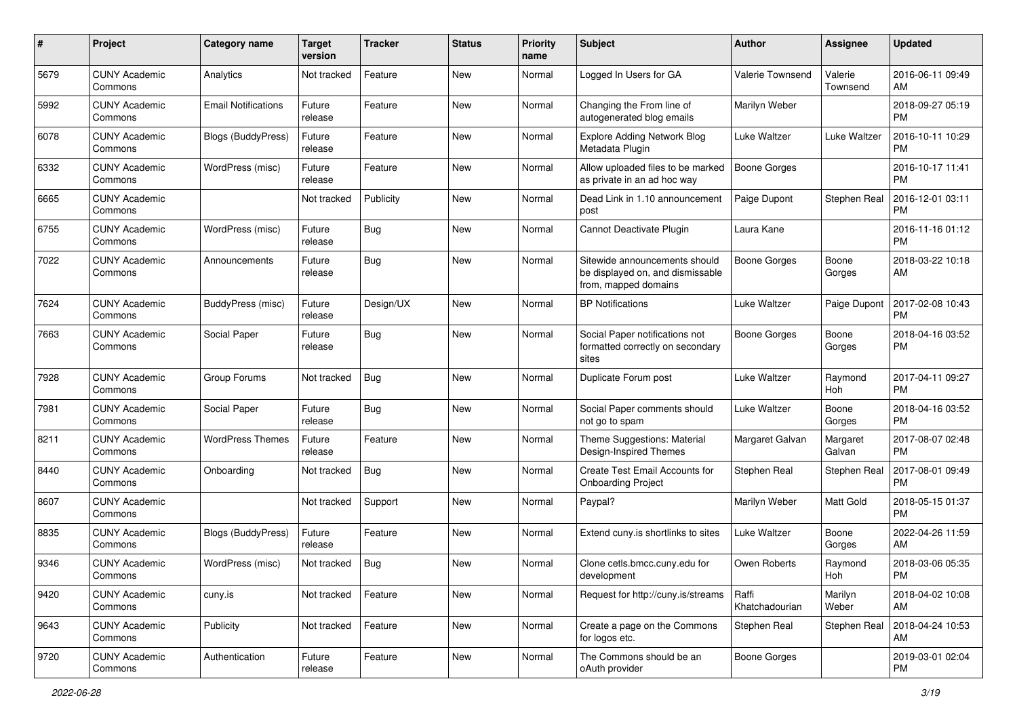| #    | Project                         | <b>Category name</b>       | <b>Target</b><br>version | <b>Tracker</b> | <b>Status</b> | <b>Priority</b><br>name | Subject                                                                                   | Author                  | <b>Assignee</b>     | <b>Updated</b>                |
|------|---------------------------------|----------------------------|--------------------------|----------------|---------------|-------------------------|-------------------------------------------------------------------------------------------|-------------------------|---------------------|-------------------------------|
| 5679 | <b>CUNY Academic</b><br>Commons | Analytics                  | Not tracked              | Feature        | <b>New</b>    | Normal                  | Logged In Users for GA                                                                    | Valerie Townsend        | Valerie<br>Townsend | 2016-06-11 09:49<br>AM        |
| 5992 | <b>CUNY Academic</b><br>Commons | <b>Email Notifications</b> | Future<br>release        | Feature        | New           | Normal                  | Changing the From line of<br>autogenerated blog emails                                    | Marilyn Weber           |                     | 2018-09-27 05:19<br><b>PM</b> |
| 6078 | <b>CUNY Academic</b><br>Commons | <b>Blogs (BuddyPress)</b>  | Future<br>release        | Feature        | New           | Normal                  | <b>Explore Adding Network Blog</b><br>Metadata Plugin                                     | Luke Waltzer            | Luke Waltzer        | 2016-10-11 10:29<br><b>PM</b> |
| 6332 | <b>CUNY Academic</b><br>Commons | WordPress (misc)           | Future<br>release        | Feature        | <b>New</b>    | Normal                  | Allow uploaded files to be marked<br>as private in an ad hoc way                          | <b>Boone Gorges</b>     |                     | 2016-10-17 11:41<br><b>PM</b> |
| 6665 | <b>CUNY Academic</b><br>Commons |                            | Not tracked              | Publicity      | <b>New</b>    | Normal                  | Dead Link in 1.10 announcement<br>post                                                    | Paige Dupont            | Stephen Real        | 2016-12-01 03:11<br><b>PM</b> |
| 6755 | <b>CUNY Academic</b><br>Commons | WordPress (misc)           | Future<br>release        | Bug            | <b>New</b>    | Normal                  | Cannot Deactivate Plugin                                                                  | Laura Kane              |                     | 2016-11-16 01:12<br><b>PM</b> |
| 7022 | <b>CUNY Academic</b><br>Commons | Announcements              | Future<br>release        | Bug            | New           | Normal                  | Sitewide announcements should<br>be displayed on, and dismissable<br>from, mapped domains | <b>Boone Gorges</b>     | Boone<br>Gorges     | 2018-03-22 10:18<br>AM        |
| 7624 | <b>CUNY Academic</b><br>Commons | BuddyPress (misc)          | Future<br>release        | Design/UX      | <b>New</b>    | Normal                  | <b>BP Notifications</b>                                                                   | Luke Waltzer            | Paige Dupont        | 2017-02-08 10:43<br>PM        |
| 7663 | <b>CUNY Academic</b><br>Commons | Social Paper               | Future<br>release        | Bug            | <b>New</b>    | Normal                  | Social Paper notifications not<br>formatted correctly on secondary<br>sites               | <b>Boone Gorges</b>     | Boone<br>Gorges     | 2018-04-16 03:52<br>РM        |
| 7928 | <b>CUNY Academic</b><br>Commons | Group Forums               | Not tracked              | <b>Bug</b>     | <b>New</b>    | Normal                  | Duplicate Forum post                                                                      | Luke Waltzer            | Raymond<br>Hoh      | 2017-04-11 09:27<br><b>PM</b> |
| 7981 | <b>CUNY Academic</b><br>Commons | Social Paper               | Future<br>release        | <b>Bug</b>     | <b>New</b>    | Normal                  | Social Paper comments should<br>not go to spam                                            | Luke Waltzer            | Boone<br>Gorges     | 2018-04-16 03:52<br><b>PM</b> |
| 8211 | <b>CUNY Academic</b><br>Commons | <b>WordPress Themes</b>    | Future<br>release        | Feature        | <b>New</b>    | Normal                  | Theme Suggestions: Material<br>Design-Inspired Themes                                     | Margaret Galvan         | Margaret<br>Galvan  | 2017-08-07 02:48<br><b>PM</b> |
| 8440 | <b>CUNY Academic</b><br>Commons | Onboarding                 | Not tracked              | Bug            | <b>New</b>    | Normal                  | <b>Create Test Email Accounts for</b><br><b>Onboarding Project</b>                        | Stephen Real            | Stephen Real        | 2017-08-01 09:49<br><b>PM</b> |
| 8607 | <b>CUNY Academic</b><br>Commons |                            | Not tracked              | Support        | <b>New</b>    | Normal                  | Paypal?                                                                                   | Marilyn Weber           | Matt Gold           | 2018-05-15 01:37<br><b>PM</b> |
| 8835 | <b>CUNY Academic</b><br>Commons | <b>Blogs (BuddyPress)</b>  | Future<br>release        | Feature        | New           | Normal                  | Extend cuny.is shortlinks to sites                                                        | Luke Waltzer            | Boone<br>Gorges     | 2022-04-26 11:59<br>AM        |
| 9346 | <b>CUNY Academic</b><br>Commons | WordPress (misc)           | Not tracked              | <b>Bug</b>     | New           | Normal                  | Clone cetls.bmcc.cuny.edu for<br>development                                              | Owen Roberts            | Raymond<br>Hoh      | 2018-03-06 05:35<br>PM        |
| 9420 | <b>CUNY Academic</b><br>Commons | cuny.is                    | Not tracked              | Feature        | New           | Normal                  | Request for http://cuny.is/streams                                                        | Raffi<br>Khatchadourian | Marilyn<br>Weber    | 2018-04-02 10:08<br>AM        |
| 9643 | <b>CUNY Academic</b><br>Commons | Publicity                  | Not tracked              | Feature        | New           | Normal                  | Create a page on the Commons<br>for logos etc.                                            | Stephen Real            | Stephen Real        | 2018-04-24 10:53<br>AM        |
| 9720 | <b>CUNY Academic</b><br>Commons | Authentication             | Future<br>release        | Feature        | New           | Normal                  | The Commons should be an<br>oAuth provider                                                | Boone Gorges            |                     | 2019-03-01 02:04<br>PM        |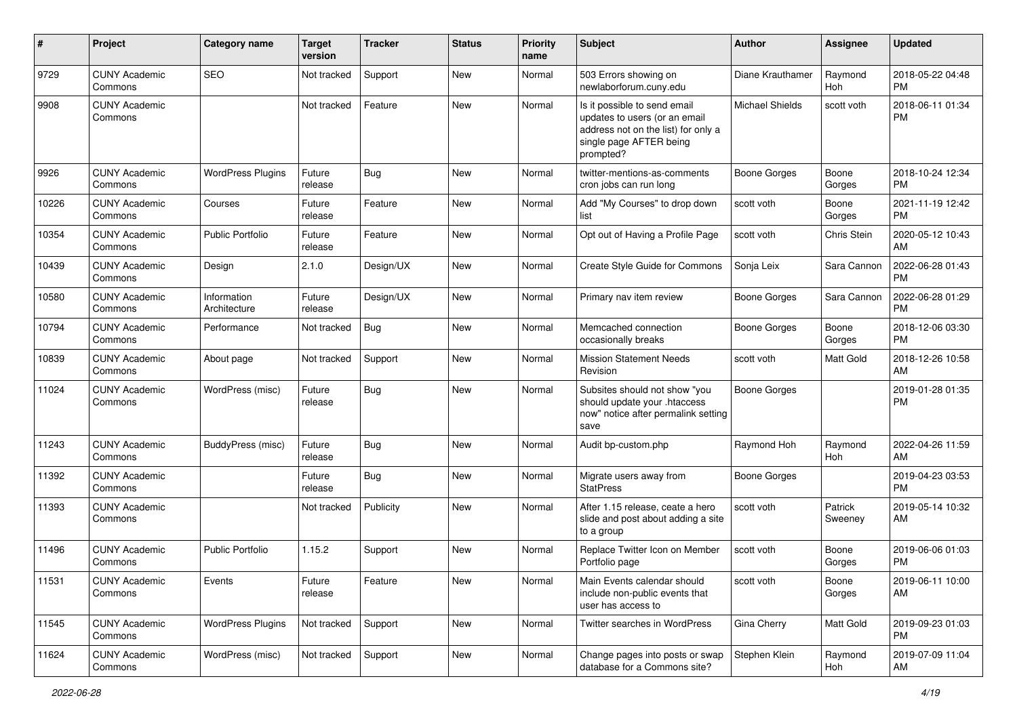| ∦     | Project                         | <b>Category name</b>        | <b>Target</b><br>version | <b>Tracker</b> | <b>Status</b> | <b>Priority</b><br>name | Subject                                                                                                                                      | Author                 | <b>Assignee</b>       | <b>Updated</b>                |
|-------|---------------------------------|-----------------------------|--------------------------|----------------|---------------|-------------------------|----------------------------------------------------------------------------------------------------------------------------------------------|------------------------|-----------------------|-------------------------------|
| 9729  | <b>CUNY Academic</b><br>Commons | SEO                         | Not tracked              | Support        | <b>New</b>    | Normal                  | 503 Errors showing on<br>newlaborforum.cuny.edu                                                                                              | Diane Krauthamer       | Raymond<br><b>Hoh</b> | 2018-05-22 04:48<br>PM        |
| 9908  | <b>CUNY Academic</b><br>Commons |                             | Not tracked              | Feature        | New           | Normal                  | Is it possible to send email<br>updates to users (or an email<br>address not on the list) for only a<br>single page AFTER being<br>prompted? | <b>Michael Shields</b> | scott voth            | 2018-06-11 01:34<br>PM        |
| 9926  | <b>CUNY Academic</b><br>Commons | <b>WordPress Plugins</b>    | Future<br>release        | <b>Bug</b>     | <b>New</b>    | Normal                  | twitter-mentions-as-comments<br>cron jobs can run long                                                                                       | <b>Boone Gorges</b>    | Boone<br>Gorges       | 2018-10-24 12:34<br>PM        |
| 10226 | <b>CUNY Academic</b><br>Commons | Courses                     | Future<br>release        | Feature        | <b>New</b>    | Normal                  | Add "My Courses" to drop down<br>list                                                                                                        | scott voth             | Boone<br>Gorges       | 2021-11-19 12:42<br>PM        |
| 10354 | <b>CUNY Academic</b><br>Commons | <b>Public Portfolio</b>     | Future<br>release        | Feature        | New           | Normal                  | Opt out of Having a Profile Page                                                                                                             | scott voth             | Chris Stein           | 2020-05-12 10:43<br>AM        |
| 10439 | <b>CUNY Academic</b><br>Commons | Design                      | 2.1.0                    | Design/UX      | New           | Normal                  | Create Style Guide for Commons                                                                                                               | Sonja Leix             | Sara Cannon           | 2022-06-28 01:43<br>PM        |
| 10580 | <b>CUNY Academic</b><br>Commons | Information<br>Architecture | Future<br>release        | Design/UX      | New           | Normal                  | Primary nav item review                                                                                                                      | Boone Gorges           | Sara Cannon           | 2022-06-28 01:29<br><b>PM</b> |
| 10794 | <b>CUNY Academic</b><br>Commons | Performance                 | Not tracked              | <b>Bug</b>     | <b>New</b>    | Normal                  | Memcached connection<br>occasionally breaks                                                                                                  | Boone Gorges           | Boone<br>Gorges       | 2018-12-06 03:30<br><b>PM</b> |
| 10839 | <b>CUNY Academic</b><br>Commons | About page                  | Not tracked              | Support        | New           | Normal                  | <b>Mission Statement Needs</b><br>Revision                                                                                                   | scott voth             | Matt Gold             | 2018-12-26 10:58<br>AM        |
| 11024 | <b>CUNY Academic</b><br>Commons | WordPress (misc)            | Future<br>release        | <b>Bug</b>     | New           | Normal                  | Subsites should not show "you<br>should update your .htaccess<br>now" notice after permalink setting<br>save                                 | Boone Gorges           |                       | 2019-01-28 01:35<br>PM        |
| 11243 | <b>CUNY Academic</b><br>Commons | BuddyPress (misc)           | Future<br>release        | <b>Bug</b>     | New           | Normal                  | Audit bp-custom.php                                                                                                                          | Raymond Hoh            | Raymond<br>Hoh        | 2022-04-26 11:59<br>AM        |
| 11392 | <b>CUNY Academic</b><br>Commons |                             | Future<br>release        | <b>Bug</b>     | New           | Normal                  | Migrate users away from<br><b>StatPress</b>                                                                                                  | <b>Boone Gorges</b>    |                       | 2019-04-23 03:53<br>PM        |
| 11393 | <b>CUNY Academic</b><br>Commons |                             | Not tracked              | Publicity      | New           | Normal                  | After 1.15 release, ceate a hero<br>slide and post about adding a site<br>to a group                                                         | scott voth             | Patrick<br>Sweeney    | 2019-05-14 10:32<br>AM        |
| 11496 | <b>CUNY Academic</b><br>Commons | <b>Public Portfolio</b>     | 1.15.2                   | Support        | <b>New</b>    | Normal                  | Replace Twitter Icon on Member<br>Portfolio page                                                                                             | scott voth             | Boone<br>Gorges       | 2019-06-06 01:03<br>PM        |
| 11531 | <b>CUNY Academic</b><br>Commons | Events                      | Future<br>release        | Feature        | New           | Normal                  | Main Events calendar should<br>include non-public events that<br>user has access to                                                          | scott voth             | Boone<br>Gorges       | 2019-06-11 10:00<br>AM        |
| 11545 | <b>CUNY Academic</b><br>Commons | <b>WordPress Plugins</b>    | Not tracked              | Support        | New           | Normal                  | Twitter searches in WordPress                                                                                                                | Gina Cherry            | Matt Gold             | 2019-09-23 01:03<br>PM        |
| 11624 | <b>CUNY Academic</b><br>Commons | WordPress (misc)            | Not tracked              | Support        | New           | Normal                  | Change pages into posts or swap<br>database for a Commons site?                                                                              | Stephen Klein          | Raymond<br>Hoh        | 2019-07-09 11:04<br>AM        |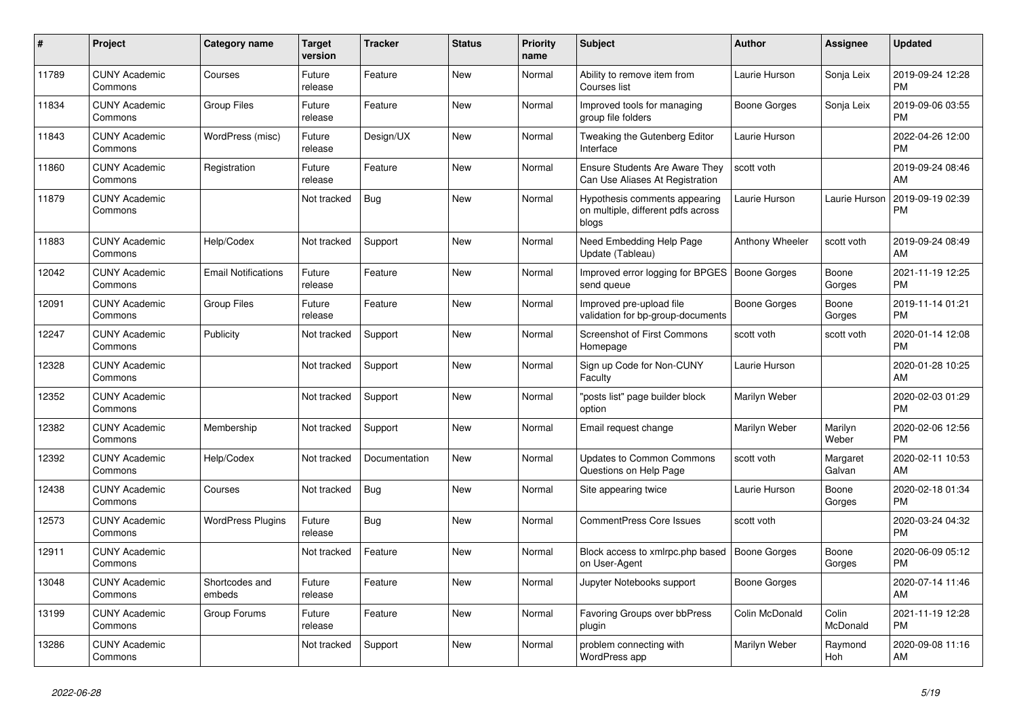| $\pmb{\sharp}$ | <b>Project</b>                  | <b>Category name</b>       | <b>Target</b><br>version | <b>Tracker</b> | <b>Status</b> | Priority<br>name | <b>Subject</b>                                                               | <b>Author</b>       | Assignee           | <b>Updated</b>                |
|----------------|---------------------------------|----------------------------|--------------------------|----------------|---------------|------------------|------------------------------------------------------------------------------|---------------------|--------------------|-------------------------------|
| 11789          | <b>CUNY Academic</b><br>Commons | Courses                    | Future<br>release        | Feature        | <b>New</b>    | Normal           | Ability to remove item from<br>Courses list                                  | Laurie Hurson       | Sonja Leix         | 2019-09-24 12:28<br><b>PM</b> |
| 11834          | <b>CUNY Academic</b><br>Commons | <b>Group Files</b>         | Future<br>release        | Feature        | <b>New</b>    | Normal           | Improved tools for managing<br>group file folders                            | Boone Gorges        | Sonja Leix         | 2019-09-06 03:55<br>PM        |
| 11843          | <b>CUNY Academic</b><br>Commons | WordPress (misc)           | Future<br>release        | Design/UX      | <b>New</b>    | Normal           | Tweaking the Gutenberg Editor<br>Interface                                   | Laurie Hurson       |                    | 2022-04-26 12:00<br>PM        |
| 11860          | <b>CUNY Academic</b><br>Commons | Registration               | Future<br>release        | Feature        | <b>New</b>    | Normal           | <b>Ensure Students Are Aware They</b><br>Can Use Aliases At Registration     | scott voth          |                    | 2019-09-24 08:46<br>AM        |
| 11879          | <b>CUNY Academic</b><br>Commons |                            | Not tracked              | Bug            | <b>New</b>    | Normal           | Hypothesis comments appearing<br>on multiple, different pdfs across<br>blogs | Laurie Hurson       | Laurie Hurson      | 2019-09-19 02:39<br>PM        |
| 11883          | <b>CUNY Academic</b><br>Commons | Help/Codex                 | Not tracked              | Support        | <b>New</b>    | Normal           | Need Embedding Help Page<br>Update (Tableau)                                 | Anthony Wheeler     | scott voth         | 2019-09-24 08:49<br>AM        |
| 12042          | <b>CUNY Academic</b><br>Commons | <b>Email Notifications</b> | Future<br>release        | Feature        | <b>New</b>    | Normal           | Improved error logging for BPGES   Boone Gorges<br>send queue                |                     | Boone<br>Gorges    | 2021-11-19 12:25<br><b>PM</b> |
| 12091          | <b>CUNY Academic</b><br>Commons | <b>Group Files</b>         | Future<br>release        | Feature        | <b>New</b>    | Normal           | Improved pre-upload file<br>validation for bp-group-documents                | <b>Boone Gorges</b> | Boone<br>Gorges    | 2019-11-14 01:21<br><b>PM</b> |
| 12247          | <b>CUNY Academic</b><br>Commons | Publicity                  | Not tracked              | Support        | <b>New</b>    | Normal           | <b>Screenshot of First Commons</b><br>Homepage                               | scott voth          | scott voth         | 2020-01-14 12:08<br><b>PM</b> |
| 12328          | <b>CUNY Academic</b><br>Commons |                            | Not tracked              | Support        | <b>New</b>    | Normal           | Sign up Code for Non-CUNY<br>Faculty                                         | Laurie Hurson       |                    | 2020-01-28 10:25<br>AM        |
| 12352          | <b>CUNY Academic</b><br>Commons |                            | Not tracked              | Support        | <b>New</b>    | Normal           | 'posts list" page builder block<br>option                                    | Marilyn Weber       |                    | 2020-02-03 01:29<br><b>PM</b> |
| 12382          | <b>CUNY Academic</b><br>Commons | Membership                 | Not tracked              | Support        | <b>New</b>    | Normal           | Email request change                                                         | Marilyn Weber       | Marilyn<br>Weber   | 2020-02-06 12:56<br><b>PM</b> |
| 12392          | <b>CUNY Academic</b><br>Commons | Help/Codex                 | Not tracked              | Documentation  | <b>New</b>    | Normal           | <b>Updates to Common Commons</b><br>Questions on Help Page                   | scott voth          | Margaret<br>Galvan | 2020-02-11 10:53<br>AM        |
| 12438          | <b>CUNY Academic</b><br>Commons | Courses                    | Not tracked              | Bug            | <b>New</b>    | Normal           | Site appearing twice                                                         | Laurie Hurson       | Boone<br>Gorges    | 2020-02-18 01:34<br>PM        |
| 12573          | <b>CUNY Academic</b><br>Commons | <b>WordPress Plugins</b>   | Future<br>release        | <b>Bug</b>     | <b>New</b>    | Normal           | CommentPress Core Issues                                                     | scott voth          |                    | 2020-03-24 04:32<br><b>PM</b> |
| 12911          | <b>CUNY Academic</b><br>Commons |                            | Not tracked              | Feature        | <b>New</b>    | Normal           | Block access to xmlrpc.php based<br>on User-Agent                            | Boone Gorges        | Boone<br>Gorges    | 2020-06-09 05:12<br><b>PM</b> |
| 13048          | <b>CUNY Academic</b><br>Commons | Shortcodes and<br>embeds   | Future<br>release        | Feature        | <b>New</b>    | Normal           | Jupyter Notebooks support                                                    | Boone Gorges        |                    | 2020-07-14 11:46<br>AM        |
| 13199          | <b>CUNY Academic</b><br>Commons | Group Forums               | Future<br>release        | Feature        | <b>New</b>    | Normal           | Favoring Groups over bbPress<br>plugin                                       | Colin McDonald      | Colin<br>McDonald  | 2021-11-19 12:28<br><b>PM</b> |
| 13286          | <b>CUNY Academic</b><br>Commons |                            | Not tracked              | Support        | <b>New</b>    | Normal           | problem connecting with<br>WordPress app                                     | Marilyn Weber       | Raymond<br>Hoh     | 2020-09-08 11:16<br>AM        |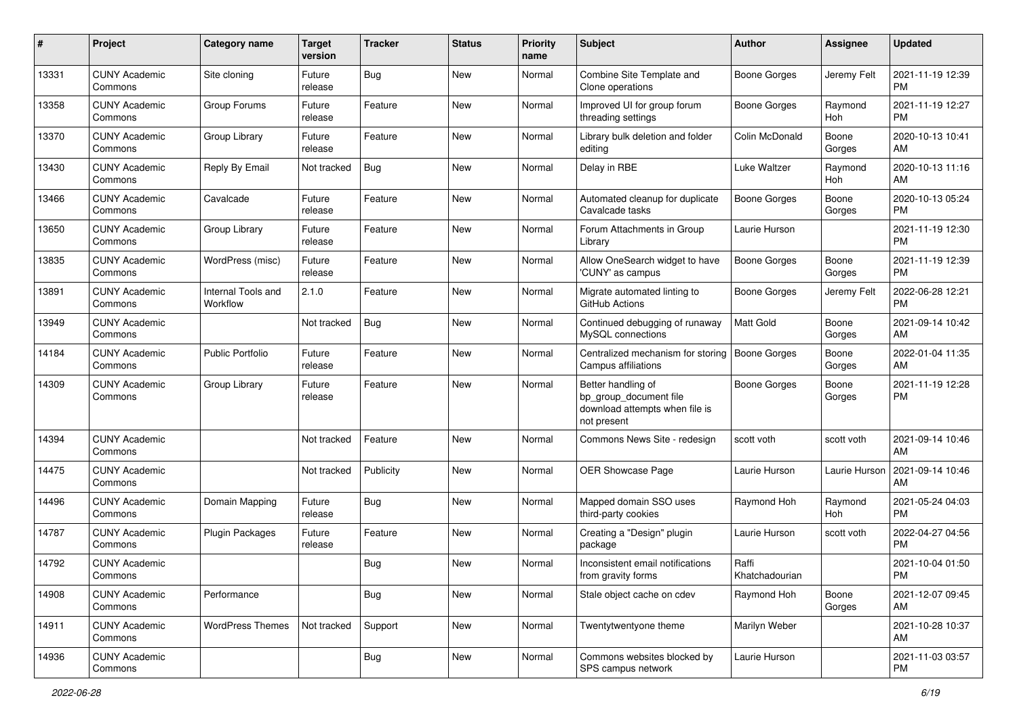| #     | Project                         | <b>Category name</b>           | <b>Target</b><br>version | <b>Tracker</b> | <b>Status</b> | <b>Priority</b><br>name | <b>Subject</b>                                                                                | Author                  | <b>Assignee</b> | <b>Updated</b>                |
|-------|---------------------------------|--------------------------------|--------------------------|----------------|---------------|-------------------------|-----------------------------------------------------------------------------------------------|-------------------------|-----------------|-------------------------------|
| 13331 | <b>CUNY Academic</b><br>Commons | Site cloning                   | Future<br>release        | <b>Bug</b>     | <b>New</b>    | Normal                  | Combine Site Template and<br>Clone operations                                                 | Boone Gorges            | Jeremy Felt     | 2021-11-19 12:39<br>PM        |
| 13358 | <b>CUNY Academic</b><br>Commons | Group Forums                   | Future<br>release        | Feature        | <b>New</b>    | Normal                  | Improved UI for group forum<br>threading settings                                             | <b>Boone Gorges</b>     | Raymond<br>Hoh  | 2021-11-19 12:27<br><b>PM</b> |
| 13370 | <b>CUNY Academic</b><br>Commons | Group Library                  | Future<br>release        | Feature        | New           | Normal                  | Library bulk deletion and folder<br>editing                                                   | Colin McDonald          | Boone<br>Gorges | 2020-10-13 10:41<br>AM        |
| 13430 | <b>CUNY Academic</b><br>Commons | Reply By Email                 | Not tracked              | Bug            | <b>New</b>    | Normal                  | Delay in RBE                                                                                  | Luke Waltzer            | Raymond<br>Hoh  | 2020-10-13 11:16<br>AM        |
| 13466 | <b>CUNY Academic</b><br>Commons | Cavalcade                      | Future<br>release        | Feature        | <b>New</b>    | Normal                  | Automated cleanup for duplicate<br>Cavalcade tasks                                            | <b>Boone Gorges</b>     | Boone<br>Gorges | 2020-10-13 05:24<br><b>PM</b> |
| 13650 | <b>CUNY Academic</b><br>Commons | Group Library                  | Future<br>release        | Feature        | <b>New</b>    | Normal                  | Forum Attachments in Group<br>Library                                                         | Laurie Hurson           |                 | 2021-11-19 12:30<br><b>PM</b> |
| 13835 | <b>CUNY Academic</b><br>Commons | WordPress (misc)               | Future<br>release        | Feature        | New           | Normal                  | Allow OneSearch widget to have<br>'CUNY' as campus                                            | <b>Boone Gorges</b>     | Boone<br>Gorges | 2021-11-19 12:39<br>PM        |
| 13891 | <b>CUNY Academic</b><br>Commons | Internal Tools and<br>Workflow | 2.1.0                    | Feature        | <b>New</b>    | Normal                  | Migrate automated linting to<br><b>GitHub Actions</b>                                         | <b>Boone Gorges</b>     | Jeremy Felt     | 2022-06-28 12:21<br><b>PM</b> |
| 13949 | <b>CUNY Academic</b><br>Commons |                                | Not tracked              | <b>Bug</b>     | <b>New</b>    | Normal                  | Continued debugging of runaway<br>MySQL connections                                           | <b>Matt Gold</b>        | Boone<br>Gorges | 2021-09-14 10:42<br>AM        |
| 14184 | <b>CUNY Academic</b><br>Commons | <b>Public Portfolio</b>        | Future<br>release        | Feature        | New           | Normal                  | Centralized mechanism for storing<br>Campus affiliations                                      | <b>Boone Gorges</b>     | Boone<br>Gorges | 2022-01-04 11:35<br>AM        |
| 14309 | <b>CUNY Academic</b><br>Commons | Group Library                  | Future<br>release        | Feature        | New           | Normal                  | Better handling of<br>bp group document file<br>download attempts when file is<br>not present | Boone Gorges            | Boone<br>Gorges | 2021-11-19 12:28<br>PM        |
| 14394 | <b>CUNY Academic</b><br>Commons |                                | Not tracked              | Feature        | <b>New</b>    | Normal                  | Commons News Site - redesign                                                                  | scott voth              | scott voth      | 2021-09-14 10:46<br>AM        |
| 14475 | <b>CUNY Academic</b><br>Commons |                                | Not tracked              | Publicity      | <b>New</b>    | Normal                  | OER Showcase Page                                                                             | Laurie Hurson           | Laurie Hurson   | 2021-09-14 10:46<br>AM        |
| 14496 | <b>CUNY Academic</b><br>Commons | Domain Mapping                 | Future<br>release        | <b>Bug</b>     | <b>New</b>    | Normal                  | Mapped domain SSO uses<br>third-party cookies                                                 | Raymond Hoh             | Raymond<br>Hoh  | 2021-05-24 04:03<br><b>PM</b> |
| 14787 | <b>CUNY Academic</b><br>Commons | <b>Plugin Packages</b>         | Future<br>release        | Feature        | <b>New</b>    | Normal                  | Creating a "Design" plugin<br>package                                                         | Laurie Hurson           | scott voth      | 2022-04-27 04:56<br>PM        |
| 14792 | <b>CUNY Academic</b><br>Commons |                                |                          | <b>Bug</b>     | New           | Normal                  | Inconsistent email notifications<br>from gravity forms                                        | Raffi<br>Khatchadourian |                 | 2021-10-04 01:50<br>PM        |
| 14908 | <b>CUNY Academic</b><br>Commons | Performance                    |                          | <b>Bug</b>     | New           | Normal                  | Stale object cache on cdev                                                                    | Raymond Hoh             | Boone<br>Gorges | 2021-12-07 09:45<br>AM        |
| 14911 | <b>CUNY Academic</b><br>Commons | <b>WordPress Themes</b>        | Not tracked              | Support        | New           | Normal                  | Twentytwentyone theme                                                                         | Marilyn Weber           |                 | 2021-10-28 10:37<br>AM        |
| 14936 | <b>CUNY Academic</b><br>Commons |                                |                          | <b>Bug</b>     | New           | Normal                  | Commons websites blocked by<br>SPS campus network                                             | Laurie Hurson           |                 | 2021-11-03 03:57<br><b>PM</b> |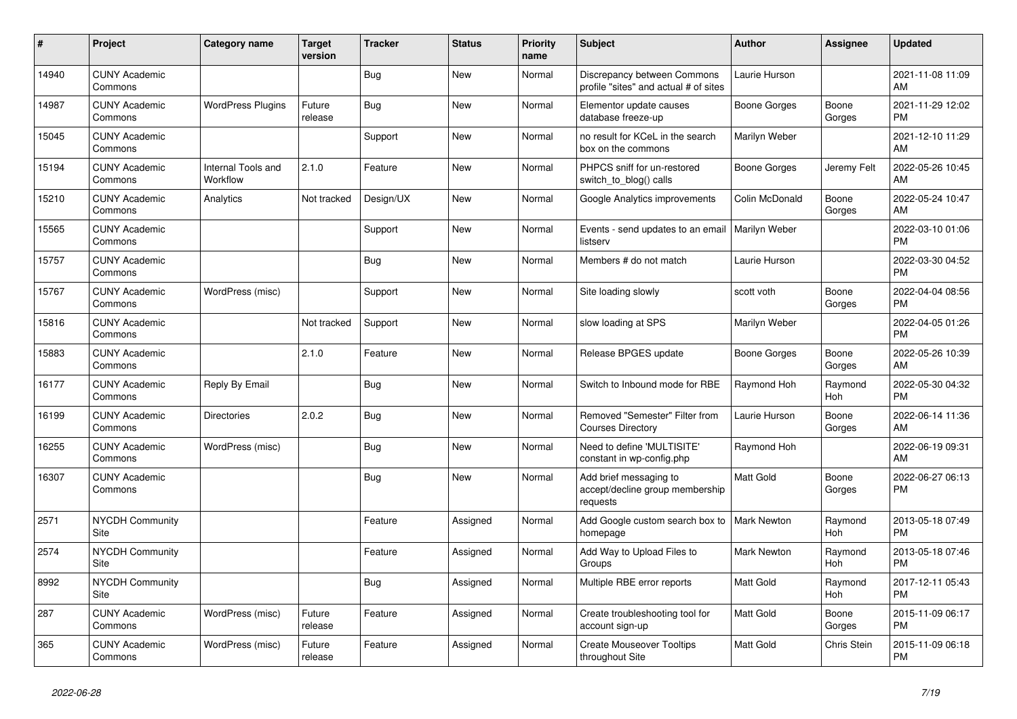| #     | Project                         | <b>Category name</b>           | <b>Target</b><br>version | <b>Tracker</b> | <b>Status</b> | <b>Priority</b><br>name | <b>Subject</b>                                                        | <b>Author</b>        | <b>Assignee</b>       | <b>Updated</b>                |
|-------|---------------------------------|--------------------------------|--------------------------|----------------|---------------|-------------------------|-----------------------------------------------------------------------|----------------------|-----------------------|-------------------------------|
| 14940 | <b>CUNY Academic</b><br>Commons |                                |                          | <b>Bug</b>     | <b>New</b>    | Normal                  | Discrepancy between Commons<br>profile "sites" and actual # of sites  | Laurie Hurson        |                       | 2021-11-08 11:09<br>AM        |
| 14987 | <b>CUNY Academic</b><br>Commons | <b>WordPress Plugins</b>       | Future<br>release        | <b>Bug</b>     | <b>New</b>    | Normal                  | Elementor update causes<br>database freeze-up                         | Boone Gorges         | Boone<br>Gorges       | 2021-11-29 12:02<br><b>PM</b> |
| 15045 | <b>CUNY Academic</b><br>Commons |                                |                          | Support        | New           | Normal                  | no result for KCeL in the search<br>box on the commons                | Marilyn Weber        |                       | 2021-12-10 11:29<br>AM        |
| 15194 | <b>CUNY Academic</b><br>Commons | Internal Tools and<br>Workflow | 2.1.0                    | Feature        | New           | Normal                  | PHPCS sniff for un-restored<br>switch_to_blog() calls                 | <b>Boone Gorges</b>  | Jeremy Felt           | 2022-05-26 10:45<br>AM        |
| 15210 | <b>CUNY Academic</b><br>Commons | Analytics                      | Not tracked              | Design/UX      | <b>New</b>    | Normal                  | Google Analytics improvements                                         | Colin McDonald       | Boone<br>Gorges       | 2022-05-24 10:47<br>AM        |
| 15565 | <b>CUNY Academic</b><br>Commons |                                |                          | Support        | <b>New</b>    | Normal                  | Events - send updates to an email<br>listserv                         | <b>Marilyn Weber</b> |                       | 2022-03-10 01:06<br><b>PM</b> |
| 15757 | <b>CUNY Academic</b><br>Commons |                                |                          | <b>Bug</b>     | <b>New</b>    | Normal                  | Members # do not match                                                | Laurie Hurson        |                       | 2022-03-30 04:52<br><b>PM</b> |
| 15767 | <b>CUNY Academic</b><br>Commons | WordPress (misc)               |                          | Support        | <b>New</b>    | Normal                  | Site loading slowly                                                   | scott voth           | Boone<br>Gorges       | 2022-04-04 08:56<br><b>PM</b> |
| 15816 | <b>CUNY Academic</b><br>Commons |                                | Not tracked              | Support        | New           | Normal                  | slow loading at SPS                                                   | Marilyn Weber        |                       | 2022-04-05 01:26<br><b>PM</b> |
| 15883 | <b>CUNY Academic</b><br>Commons |                                | 2.1.0                    | Feature        | New           | Normal                  | Release BPGES update                                                  | <b>Boone Gorges</b>  | Boone<br>Gorges       | 2022-05-26 10:39<br>AM        |
| 16177 | <b>CUNY Academic</b><br>Commons | Reply By Email                 |                          | Bug            | <b>New</b>    | Normal                  | Switch to Inbound mode for RBE                                        | Raymond Hoh          | Raymond<br>Hoh        | 2022-05-30 04:32<br><b>PM</b> |
| 16199 | <b>CUNY Academic</b><br>Commons | <b>Directories</b>             | 2.0.2                    | <b>Bug</b>     | <b>New</b>    | Normal                  | Removed "Semester" Filter from<br><b>Courses Directory</b>            | Laurie Hurson        | Boone<br>Gorges       | 2022-06-14 11:36<br>AM        |
| 16255 | <b>CUNY Academic</b><br>Commons | WordPress (misc)               |                          | <b>Bug</b>     | <b>New</b>    | Normal                  | Need to define 'MULTISITE'<br>constant in wp-config.php               | Raymond Hoh          |                       | 2022-06-19 09:31<br>AM        |
| 16307 | <b>CUNY Academic</b><br>Commons |                                |                          | Bug            | <b>New</b>    | Normal                  | Add brief messaging to<br>accept/decline group membership<br>requests | <b>Matt Gold</b>     | Boone<br>Gorges       | 2022-06-27 06:13<br><b>PM</b> |
| 2571  | <b>NYCDH Community</b><br>Site  |                                |                          | Feature        | Assigned      | Normal                  | Add Google custom search box to   Mark Newton<br>homepage             |                      | Raymond<br><b>Hoh</b> | 2013-05-18 07:49<br><b>PM</b> |
| 2574  | NYCDH Community<br>Site         |                                |                          | Feature        | Assigned      | Normal                  | Add Way to Upload Files to<br>Groups                                  | Mark Newton          | Raymond<br>Hoh        | 2013-05-18 07:46<br><b>PM</b> |
| 8992  | <b>NYCDH Community</b><br>Site  |                                |                          | Bug            | Assigned      | Normal                  | Multiple RBE error reports                                            | Matt Gold            | Raymond<br>Hoh        | 2017-12-11 05:43<br><b>PM</b> |
| 287   | <b>CUNY Academic</b><br>Commons | WordPress (misc)               | Future<br>release        | Feature        | Assigned      | Normal                  | Create troubleshooting tool for<br>account sign-up                    | Matt Gold            | Boone<br>Gorges       | 2015-11-09 06:17<br><b>PM</b> |
| 365   | <b>CUNY Academic</b><br>Commons | WordPress (misc)               | Future<br>release        | Feature        | Assigned      | Normal                  | <b>Create Mouseover Tooltips</b><br>throughout Site                   | Matt Gold            | Chris Stein           | 2015-11-09 06:18<br><b>PM</b> |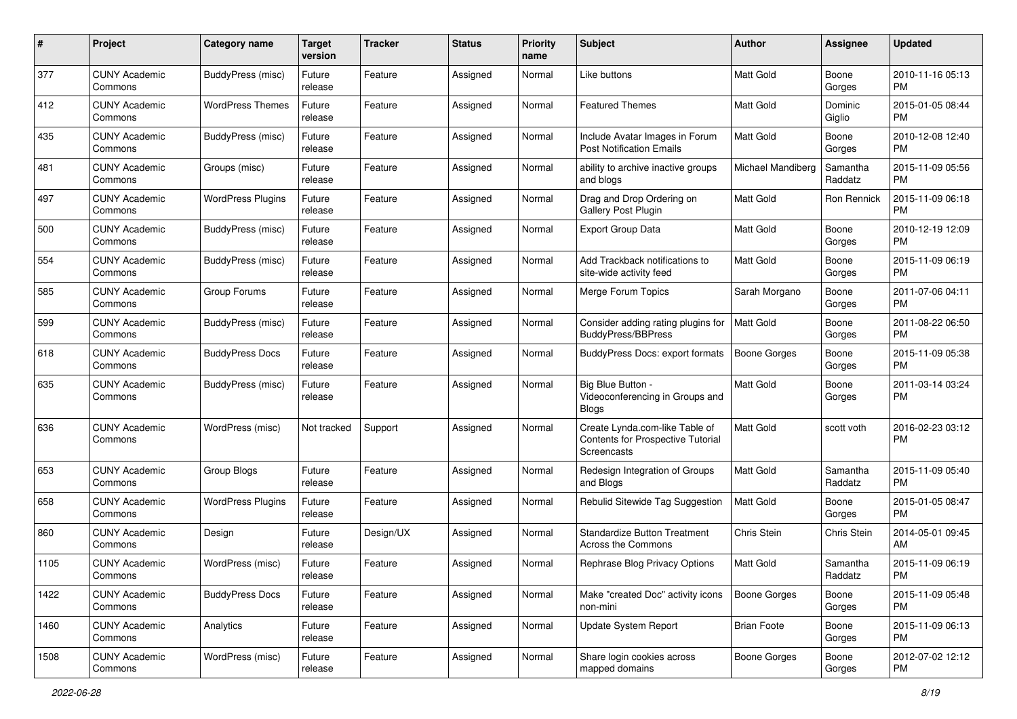| #    | Project                         | <b>Category name</b>     | <b>Target</b><br>version | <b>Tracker</b> | <b>Status</b> | <b>Priority</b><br>name | Subject                                                                            | Author              | <b>Assignee</b>     | <b>Updated</b>                |
|------|---------------------------------|--------------------------|--------------------------|----------------|---------------|-------------------------|------------------------------------------------------------------------------------|---------------------|---------------------|-------------------------------|
| 377  | <b>CUNY Academic</b><br>Commons | BuddyPress (misc)        | Future<br>release        | Feature        | Assigned      | Normal                  | Like buttons                                                                       | <b>Matt Gold</b>    | Boone<br>Gorges     | 2010-11-16 05:13<br><b>PM</b> |
| 412  | <b>CUNY Academic</b><br>Commons | <b>WordPress Themes</b>  | Future<br>release        | Feature        | Assigned      | Normal                  | <b>Featured Themes</b>                                                             | Matt Gold           | Dominic<br>Giglio   | 2015-01-05 08:44<br><b>PM</b> |
| 435  | CUNY Academic<br>Commons        | BuddyPress (misc)        | Future<br>release        | Feature        | Assigned      | Normal                  | Include Avatar Images in Forum<br><b>Post Notification Emails</b>                  | Matt Gold           | Boone<br>Gorges     | 2010-12-08 12:40<br><b>PM</b> |
| 481  | <b>CUNY Academic</b><br>Commons | Groups (misc)            | Future<br>release        | Feature        | Assigned      | Normal                  | ability to archive inactive groups<br>and blogs                                    | Michael Mandiberg   | Samantha<br>Raddatz | 2015-11-09 05:56<br><b>PM</b> |
| 497  | CUNY Academic<br>Commons        | <b>WordPress Plugins</b> | Future<br>release        | Feature        | Assigned      | Normal                  | Drag and Drop Ordering on<br>Gallery Post Plugin                                   | <b>Matt Gold</b>    | Ron Rennick         | 2015-11-09 06:18<br>PM        |
| 500  | <b>CUNY Academic</b><br>Commons | BuddyPress (misc)        | Future<br>release        | Feature        | Assigned      | Normal                  | <b>Export Group Data</b>                                                           | Matt Gold           | Boone<br>Gorges     | 2010-12-19 12:09<br><b>PM</b> |
| 554  | <b>CUNY Academic</b><br>Commons | BuddyPress (misc)        | Future<br>release        | Feature        | Assigned      | Normal                  | Add Trackback notifications to<br>site-wide activity feed                          | Matt Gold           | Boone<br>Gorges     | 2015-11-09 06:19<br><b>PM</b> |
| 585  | <b>CUNY Academic</b><br>Commons | Group Forums             | Future<br>release        | Feature        | Assigned      | Normal                  | Merge Forum Topics                                                                 | Sarah Morgano       | Boone<br>Gorges     | 2011-07-06 04:11<br><b>PM</b> |
| 599  | <b>CUNY Academic</b><br>Commons | BuddyPress (misc)        | Future<br>release        | Feature        | Assigned      | Normal                  | Consider adding rating plugins for<br><b>BuddyPress/BBPress</b>                    | Matt Gold           | Boone<br>Gorges     | 2011-08-22 06:50<br><b>PM</b> |
| 618  | CUNY Academic<br>Commons        | <b>BuddyPress Docs</b>   | Future<br>release        | Feature        | Assigned      | Normal                  | <b>BuddyPress Docs: export formats</b>                                             | <b>Boone Gorges</b> | Boone<br>Gorges     | 2015-11-09 05:38<br><b>PM</b> |
| 635  | <b>CUNY Academic</b><br>Commons | BuddyPress (misc)        | Future<br>release        | Feature        | Assigned      | Normal                  | Big Blue Button -<br>Videoconferencing in Groups and<br><b>Blogs</b>               | <b>Matt Gold</b>    | Boone<br>Gorges     | 2011-03-14 03:24<br><b>PM</b> |
| 636  | <b>CUNY Academic</b><br>Commons | WordPress (misc)         | Not tracked              | Support        | Assigned      | Normal                  | Create Lynda.com-like Table of<br>Contents for Prospective Tutorial<br>Screencasts | <b>Matt Gold</b>    | scott voth          | 2016-02-23 03:12<br><b>PM</b> |
| 653  | <b>CUNY Academic</b><br>Commons | Group Blogs              | Future<br>release        | Feature        | Assigned      | Normal                  | Redesign Integration of Groups<br>and Blogs                                        | <b>Matt Gold</b>    | Samantha<br>Raddatz | 2015-11-09 05:40<br><b>PM</b> |
| 658  | <b>CUNY Academic</b><br>Commons | <b>WordPress Plugins</b> | Future<br>release        | Feature        | Assigned      | Normal                  | Rebulid Sitewide Tag Suggestion                                                    | <b>Matt Gold</b>    | Boone<br>Gorges     | 2015-01-05 08:47<br><b>PM</b> |
| 860  | <b>CUNY Academic</b><br>Commons | Design                   | Future<br>release        | Design/UX      | Assigned      | Normal                  | <b>Standardize Button Treatment</b><br>Across the Commons                          | Chris Stein         | Chris Stein         | 2014-05-01 09:45<br>AM        |
| 1105 | <b>CUNY Academic</b><br>Commons | WordPress (misc)         | Future<br>release        | Feature        | Assigned      | Normal                  | Rephrase Blog Privacy Options                                                      | Matt Gold           | Samantha<br>Raddatz | 2015-11-09 06:19<br>PM        |
| 1422 | <b>CUNY Academic</b><br>Commons | <b>BuddyPress Docs</b>   | Future<br>release        | Feature        | Assigned      | Normal                  | Make "created Doc" activity icons<br>non-mini                                      | Boone Gorges        | Boone<br>Gorges     | 2015-11-09 05:48<br><b>PM</b> |
| 1460 | <b>CUNY Academic</b><br>Commons | Analytics                | Future<br>release        | Feature        | Assigned      | Normal                  | Update System Report                                                               | <b>Brian Foote</b>  | Boone<br>Gorges     | 2015-11-09 06:13<br><b>PM</b> |
| 1508 | <b>CUNY Academic</b><br>Commons | WordPress (misc)         | Future<br>release        | Feature        | Assigned      | Normal                  | Share login cookies across<br>mapped domains                                       | <b>Boone Gorges</b> | Boone<br>Gorges     | 2012-07-02 12:12<br>PM        |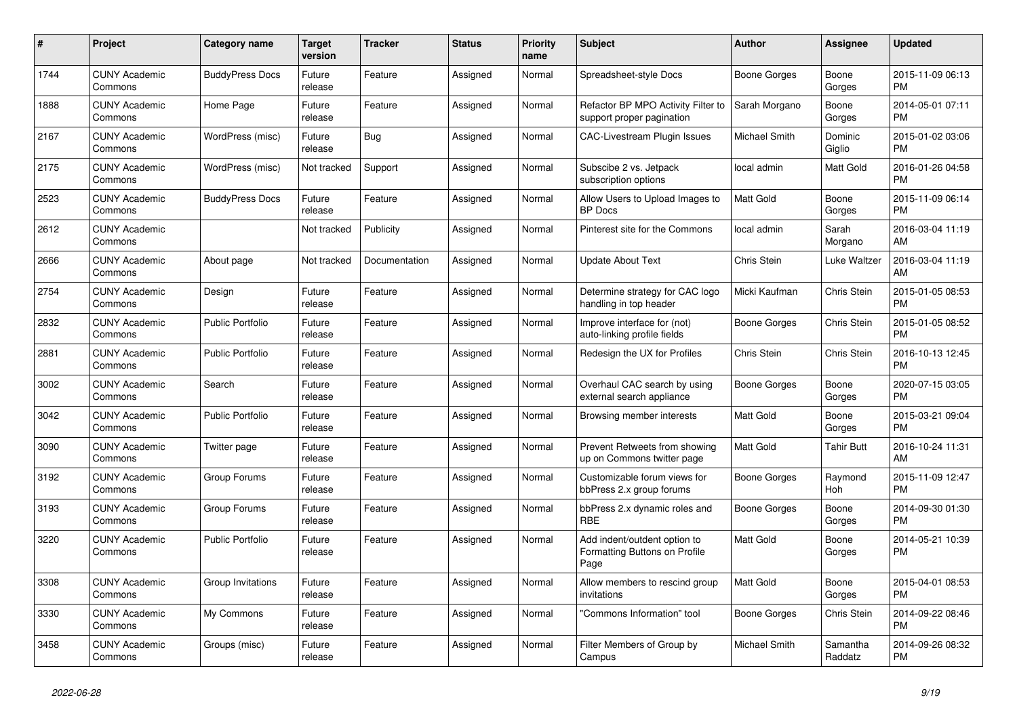| #    | Project                         | Category name           | <b>Target</b><br>version | <b>Tracker</b> | <b>Status</b> | Priority<br>name | <b>Subject</b>                                                        | Author              | <b>Assignee</b>       | <b>Updated</b>                |
|------|---------------------------------|-------------------------|--------------------------|----------------|---------------|------------------|-----------------------------------------------------------------------|---------------------|-----------------------|-------------------------------|
| 1744 | <b>CUNY Academic</b><br>Commons | <b>BuddyPress Docs</b>  | Future<br>release        | Feature        | Assigned      | Normal           | Spreadsheet-style Docs                                                | <b>Boone Gorges</b> | Boone<br>Gorges       | 2015-11-09 06:13<br><b>PM</b> |
| 1888 | <b>CUNY Academic</b><br>Commons | Home Page               | Future<br>release        | Feature        | Assigned      | Normal           | Refactor BP MPO Activity Filter to<br>support proper pagination       | Sarah Morgano       | Boone<br>Gorges       | 2014-05-01 07:11<br><b>PM</b> |
| 2167 | <b>CUNY Academic</b><br>Commons | WordPress (misc)        | Future<br>release        | <b>Bug</b>     | Assigned      | Normal           | <b>CAC-Livestream Plugin Issues</b>                                   | Michael Smith       | Dominic<br>Giglio     | 2015-01-02 03:06<br><b>PM</b> |
| 2175 | <b>CUNY Academic</b><br>Commons | WordPress (misc)        | Not tracked              | Support        | Assigned      | Normal           | Subscibe 2 vs. Jetpack<br>subscription options                        | local admin         | Matt Gold             | 2016-01-26 04:58<br><b>PM</b> |
| 2523 | <b>CUNY Academic</b><br>Commons | <b>BuddyPress Docs</b>  | Future<br>release        | Feature        | Assigned      | Normal           | Allow Users to Upload Images to<br><b>BP</b> Docs                     | <b>Matt Gold</b>    | Boone<br>Gorges       | 2015-11-09 06:14<br><b>PM</b> |
| 2612 | <b>CUNY Academic</b><br>Commons |                         | Not tracked              | Publicity      | Assigned      | Normal           | Pinterest site for the Commons                                        | local admin         | Sarah<br>Morgano      | 2016-03-04 11:19<br>AM        |
| 2666 | <b>CUNY Academic</b><br>Commons | About page              | Not tracked              | Documentation  | Assigned      | Normal           | <b>Update About Text</b>                                              | Chris Stein         | Luke Waltzer          | 2016-03-04 11:19<br>AM        |
| 2754 | <b>CUNY Academic</b><br>Commons | Design                  | Future<br>release        | Feature        | Assigned      | Normal           | Determine strategy for CAC logo<br>handling in top header             | Micki Kaufman       | Chris Stein           | 2015-01-05 08:53<br><b>PM</b> |
| 2832 | <b>CUNY Academic</b><br>Commons | <b>Public Portfolio</b> | Future<br>release        | Feature        | Assigned      | Normal           | Improve interface for (not)<br>auto-linking profile fields            | Boone Gorges        | Chris Stein           | 2015-01-05 08:52<br><b>PM</b> |
| 2881 | <b>CUNY Academic</b><br>Commons | <b>Public Portfolio</b> | Future<br>release        | Feature        | Assigned      | Normal           | Redesign the UX for Profiles                                          | Chris Stein         | Chris Stein           | 2016-10-13 12:45<br><b>PM</b> |
| 3002 | <b>CUNY Academic</b><br>Commons | Search                  | Future<br>release        | Feature        | Assigned      | Normal           | Overhaul CAC search by using<br>external search appliance             | <b>Boone Gorges</b> | Boone<br>Gorges       | 2020-07-15 03:05<br><b>PM</b> |
| 3042 | <b>CUNY Academic</b><br>Commons | <b>Public Portfolio</b> | Future<br>release        | Feature        | Assigned      | Normal           | Browsing member interests                                             | Matt Gold           | Boone<br>Gorges       | 2015-03-21 09:04<br><b>PM</b> |
| 3090 | <b>CUNY Academic</b><br>Commons | Twitter page            | Future<br>release        | Feature        | Assigned      | Normal           | Prevent Retweets from showing<br>up on Commons twitter page           | <b>Matt Gold</b>    | Tahir Butt            | 2016-10-24 11:31<br>AM        |
| 3192 | <b>CUNY Academic</b><br>Commons | Group Forums            | Future<br>release        | Feature        | Assigned      | Normal           | Customizable forum views for<br>bbPress 2.x group forums              | Boone Gorges        | Raymond<br><b>Hoh</b> | 2015-11-09 12:47<br><b>PM</b> |
| 3193 | <b>CUNY Academic</b><br>Commons | Group Forums            | Future<br>release        | Feature        | Assigned      | Normal           | bbPress 2.x dynamic roles and<br><b>RBE</b>                           | Boone Gorges        | Boone<br>Gorges       | 2014-09-30 01:30<br><b>PM</b> |
| 3220 | <b>CUNY Academic</b><br>Commons | <b>Public Portfolio</b> | Future<br>release        | Feature        | Assigned      | Normal           | Add indent/outdent option to<br>Formatting Buttons on Profile<br>Page | <b>Matt Gold</b>    | Boone<br>Gorges       | 2014-05-21 10:39<br><b>PM</b> |
| 3308 | <b>CUNY Academic</b><br>Commons | Group Invitations       | Future<br>release        | Feature        | Assigned      | Normal           | Allow members to rescind group<br>invitations                         | Matt Gold           | Boone<br>Gorges       | 2015-04-01 08:53<br><b>PM</b> |
| 3330 | <b>CUNY Academic</b><br>Commons | My Commons              | Future<br>release        | Feature        | Assigned      | Normal           | "Commons Information" tool                                            | Boone Gorges        | Chris Stein           | 2014-09-22 08:46<br><b>PM</b> |
| 3458 | <b>CUNY Academic</b><br>Commons | Groups (misc)           | Future<br>release        | Feature        | Assigned      | Normal           | Filter Members of Group by<br>Campus                                  | Michael Smith       | Samantha<br>Raddatz   | 2014-09-26 08:32<br><b>PM</b> |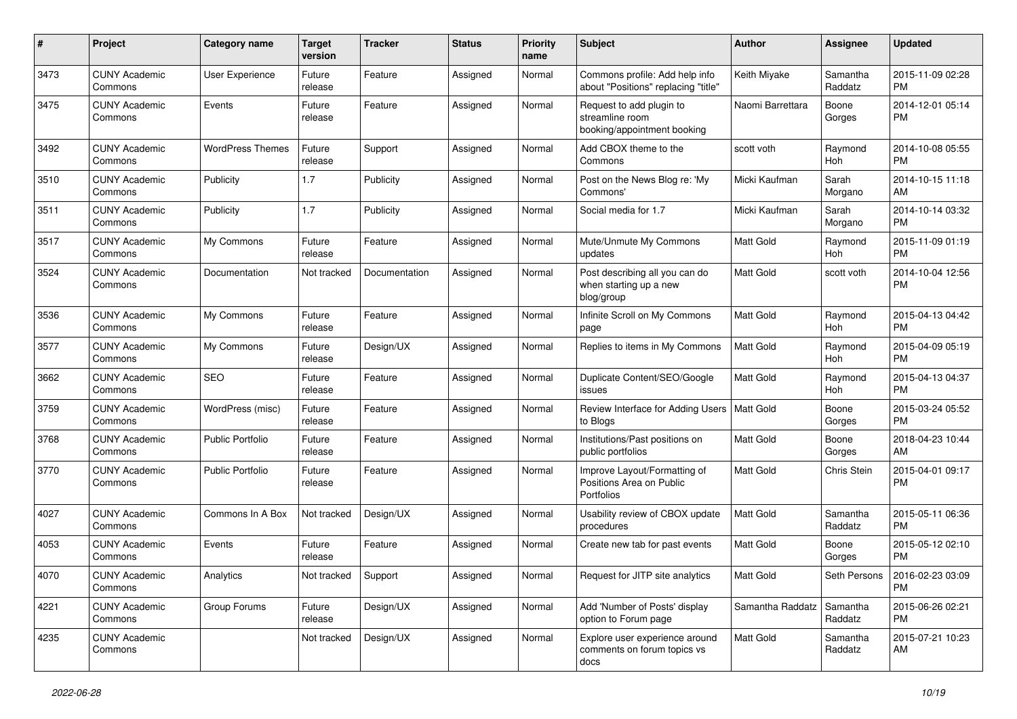| #    | Project                         | <b>Category name</b>    | <b>Target</b><br>version | <b>Tracker</b> | <b>Status</b> | <b>Priority</b><br>name | Subject                                                                    | Author           | <b>Assignee</b>     | <b>Updated</b>                |
|------|---------------------------------|-------------------------|--------------------------|----------------|---------------|-------------------------|----------------------------------------------------------------------------|------------------|---------------------|-------------------------------|
| 3473 | <b>CUNY Academic</b><br>Commons | <b>User Experience</b>  | Future<br>release        | Feature        | Assigned      | Normal                  | Commons profile: Add help info<br>about "Positions" replacing "title"      | Keith Miyake     | Samantha<br>Raddatz | 2015-11-09 02:28<br><b>PM</b> |
| 3475 | <b>CUNY Academic</b><br>Commons | Events                  | Future<br>release        | Feature        | Assigned      | Normal                  | Request to add plugin to<br>streamline room<br>booking/appointment booking | Naomi Barrettara | Boone<br>Gorges     | 2014-12-01 05:14<br><b>PM</b> |
| 3492 | <b>CUNY Academic</b><br>Commons | <b>WordPress Themes</b> | Future<br>release        | Support        | Assigned      | Normal                  | Add CBOX theme to the<br>Commons                                           | scott voth       | Raymond<br>Hoh      | 2014-10-08 05:55<br><b>PM</b> |
| 3510 | <b>CUNY Academic</b><br>Commons | Publicity               | 1.7                      | Publicity      | Assigned      | Normal                  | Post on the News Blog re: 'My<br>Commons'                                  | Micki Kaufman    | Sarah<br>Morgano    | 2014-10-15 11:18<br>AM        |
| 3511 | <b>CUNY Academic</b><br>Commons | Publicity               | 1.7                      | Publicity      | Assigned      | Normal                  | Social media for 1.7                                                       | Micki Kaufman    | Sarah<br>Morgano    | 2014-10-14 03:32<br><b>PM</b> |
| 3517 | <b>CUNY Academic</b><br>Commons | My Commons              | Future<br>release        | Feature        | Assigned      | Normal                  | Mute/Unmute My Commons<br>updates                                          | Matt Gold        | Raymond<br>Hoh      | 2015-11-09 01:19<br><b>PM</b> |
| 3524 | <b>CUNY Academic</b><br>Commons | Documentation           | Not tracked              | Documentation  | Assigned      | Normal                  | Post describing all you can do<br>when starting up a new<br>blog/group     | Matt Gold        | scott voth          | 2014-10-04 12:56<br><b>PM</b> |
| 3536 | <b>CUNY Academic</b><br>Commons | My Commons              | Future<br>release        | Feature        | Assigned      | Normal                  | Infinite Scroll on My Commons<br>page                                      | <b>Matt Gold</b> | Raymond<br>Hoh      | 2015-04-13 04:42<br><b>PM</b> |
| 3577 | <b>CUNY Academic</b><br>Commons | My Commons              | Future<br>release        | Design/UX      | Assigned      | Normal                  | Replies to items in My Commons                                             | Matt Gold        | Raymond<br>Hoh      | 2015-04-09 05:19<br><b>PM</b> |
| 3662 | <b>CUNY Academic</b><br>Commons | <b>SEO</b>              | Future<br>release        | Feature        | Assigned      | Normal                  | Duplicate Content/SEO/Google<br>issues                                     | Matt Gold        | Raymond<br>Hoh      | 2015-04-13 04:37<br><b>PM</b> |
| 3759 | <b>CUNY Academic</b><br>Commons | WordPress (misc)        | Future<br>release        | Feature        | Assigned      | Normal                  | Review Interface for Adding Users   Matt Gold<br>to Blogs                  |                  | Boone<br>Gorges     | 2015-03-24 05:52<br><b>PM</b> |
| 3768 | <b>CUNY Academic</b><br>Commons | Public Portfolio        | Future<br>release        | Feature        | Assigned      | Normal                  | Institutions/Past positions on<br>public portfolios                        | Matt Gold        | Boone<br>Gorges     | 2018-04-23 10:44<br>AM        |
| 3770 | <b>CUNY Academic</b><br>Commons | <b>Public Portfolio</b> | Future<br>release        | Feature        | Assigned      | Normal                  | Improve Layout/Formatting of<br>Positions Area on Public<br>Portfolios     | Matt Gold        | Chris Stein         | 2015-04-01 09:17<br><b>PM</b> |
| 4027 | <b>CUNY Academic</b><br>Commons | Commons In A Box        | Not tracked              | Design/UX      | Assigned      | Normal                  | Usability review of CBOX update<br>procedures                              | Matt Gold        | Samantha<br>Raddatz | 2015-05-11 06:36<br><b>PM</b> |
| 4053 | <b>CUNY Academic</b><br>Commons | Events                  | Future<br>release        | Feature        | Assigned      | Normal                  | Create new tab for past events                                             | Matt Gold        | Boone<br>Gorges     | 2015-05-12 02:10<br><b>PM</b> |
| 4070 | <b>CUNY Academic</b><br>Commons | Analytics               | Not tracked              | Support        | Assigned      | Normal                  | Request for JITP site analytics                                            | Matt Gold        | Seth Persons        | 2016-02-23 03:09<br><b>PM</b> |
| 4221 | <b>CUNY Academic</b><br>Commons | Group Forums            | Future<br>release        | Design/UX      | Assigned      | Normal                  | Add 'Number of Posts' display<br>option to Forum page                      | Samantha Raddatz | Samantha<br>Raddatz | 2015-06-26 02:21<br>PM        |
| 4235 | <b>CUNY Academic</b><br>Commons |                         | Not tracked              | Design/UX      | Assigned      | Normal                  | Explore user experience around<br>comments on forum topics vs<br>docs      | Matt Gold        | Samantha<br>Raddatz | 2015-07-21 10:23<br>AM        |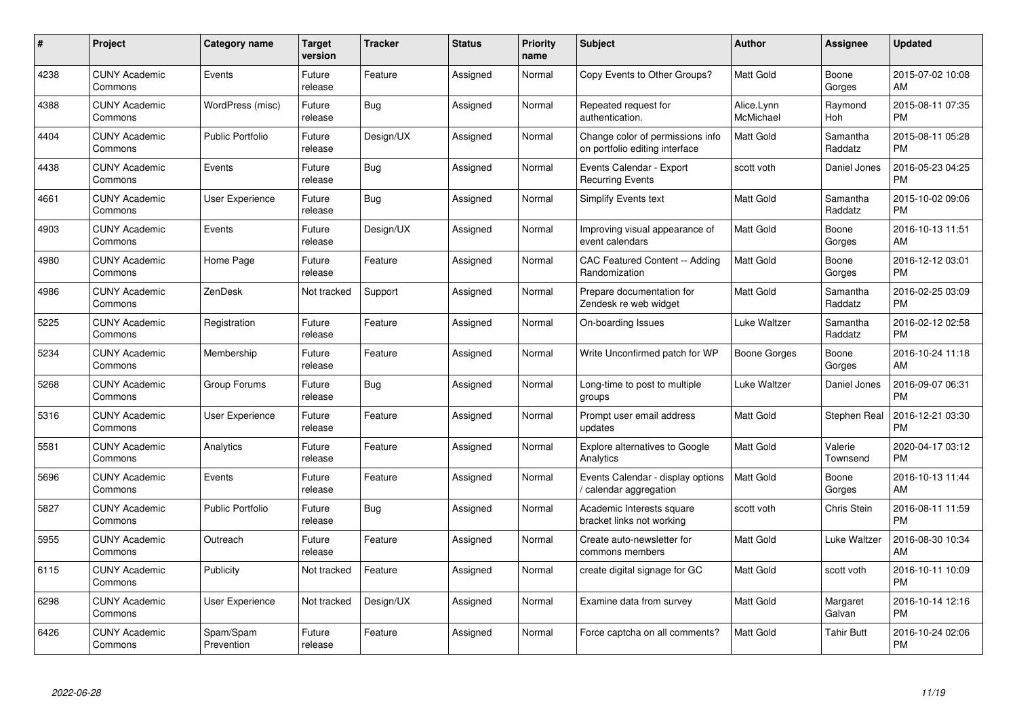| #    | Project                         | <b>Category name</b>    | Target<br>version | <b>Tracker</b> | <b>Status</b> | <b>Priority</b><br>name | <b>Subject</b>                                                     | <b>Author</b>           | <b>Assignee</b>       | <b>Updated</b>                |
|------|---------------------------------|-------------------------|-------------------|----------------|---------------|-------------------------|--------------------------------------------------------------------|-------------------------|-----------------------|-------------------------------|
| 4238 | <b>CUNY Academic</b><br>Commons | Events                  | Future<br>release | Feature        | Assigned      | Normal                  | Copy Events to Other Groups?                                       | <b>Matt Gold</b>        | Boone<br>Gorges       | 2015-07-02 10:08<br>AM        |
| 4388 | <b>CUNY Academic</b><br>Commons | WordPress (misc)        | Future<br>release | <b>Bug</b>     | Assigned      | Normal                  | Repeated request for<br>authentication.                            | Alice.Lynn<br>McMichael | Raymond<br><b>Hoh</b> | 2015-08-11 07:35<br><b>PM</b> |
| 4404 | <b>CUNY Academic</b><br>Commons | <b>Public Portfolio</b> | Future<br>release | Design/UX      | Assigned      | Normal                  | Change color of permissions info<br>on portfolio editing interface | Matt Gold               | Samantha<br>Raddatz   | 2015-08-11 05:28<br><b>PM</b> |
| 4438 | <b>CUNY Academic</b><br>Commons | Events                  | Future<br>release | <b>Bug</b>     | Assigned      | Normal                  | Events Calendar - Export<br>Recurring Events                       | scott voth              | Daniel Jones          | 2016-05-23 04:25<br><b>PM</b> |
| 4661 | <b>CUNY Academic</b><br>Commons | User Experience         | Future<br>release | Bug            | Assigned      | Normal                  | Simplify Events text                                               | <b>Matt Gold</b>        | Samantha<br>Raddatz   | 2015-10-02 09:06<br><b>PM</b> |
| 4903 | <b>CUNY Academic</b><br>Commons | Events                  | Future<br>release | Design/UX      | Assigned      | Normal                  | Improving visual appearance of<br>event calendars                  | Matt Gold               | Boone<br>Gorges       | 2016-10-13 11:51<br>AM        |
| 4980 | <b>CUNY Academic</b><br>Commons | Home Page               | Future<br>release | Feature        | Assigned      | Normal                  | <b>CAC Featured Content -- Adding</b><br>Randomization             | Matt Gold               | Boone<br>Gorges       | 2016-12-12 03:01<br><b>PM</b> |
| 4986 | <b>CUNY Academic</b><br>Commons | ZenDesk                 | Not tracked       | Support        | Assigned      | Normal                  | Prepare documentation for<br>Zendesk re web widget                 | Matt Gold               | Samantha<br>Raddatz   | 2016-02-25 03:09<br><b>PM</b> |
| 5225 | <b>CUNY Academic</b><br>Commons | Registration            | Future<br>release | Feature        | Assigned      | Normal                  | On-boarding Issues                                                 | Luke Waltzer            | Samantha<br>Raddatz   | 2016-02-12 02:58<br><b>PM</b> |
| 5234 | <b>CUNY Academic</b><br>Commons | Membership              | Future<br>release | Feature        | Assigned      | Normal                  | Write Unconfirmed patch for WP                                     | Boone Gorges            | Boone<br>Gorges       | 2016-10-24 11:18<br>AM        |
| 5268 | <b>CUNY Academic</b><br>Commons | Group Forums            | Future<br>release | <b>Bug</b>     | Assigned      | Normal                  | Long-time to post to multiple<br>groups                            | Luke Waltzer            | Daniel Jones          | 2016-09-07 06:31<br><b>PM</b> |
| 5316 | <b>CUNY Academic</b><br>Commons | <b>User Experience</b>  | Future<br>release | Feature        | Assigned      | Normal                  | Prompt user email address<br>updates                               | Matt Gold               | Stephen Real          | 2016-12-21 03:30<br><b>PM</b> |
| 5581 | <b>CUNY Academic</b><br>Commons | Analytics               | Future<br>release | Feature        | Assigned      | Normal                  | <b>Explore alternatives to Google</b><br>Analytics                 | <b>Matt Gold</b>        | Valerie<br>Townsend   | 2020-04-17 03:12<br>РM        |
| 5696 | <b>CUNY Academic</b><br>Commons | Events                  | Future<br>release | Feature        | Assigned      | Normal                  | Events Calendar - display options<br>calendar aggregation          | <b>Matt Gold</b>        | Boone<br>Gorges       | 2016-10-13 11:44<br>AM        |
| 5827 | <b>CUNY Academic</b><br>Commons | <b>Public Portfolio</b> | Future<br>release | Bug            | Assigned      | Normal                  | Academic Interests square<br>bracket links not working             | scott voth              | Chris Stein           | 2016-08-11 11:59<br><b>PM</b> |
| 5955 | <b>CUNY Academic</b><br>Commons | Outreach                | Future<br>release | Feature        | Assigned      | Normal                  | Create auto-newsletter for<br>commons members                      | <b>Matt Gold</b>        | Luke Waltzer          | 2016-08-30 10:34<br>AM        |
| 6115 | <b>CUNY Academic</b><br>Commons | Publicity               | Not tracked       | Feature        | Assigned      | Normal                  | create digital signage for GC                                      | <b>Matt Gold</b>        | scott voth            | 2016-10-11 10:09<br><b>PM</b> |
| 6298 | <b>CUNY Academic</b><br>Commons | User Experience         | Not tracked       | Design/UX      | Assigned      | Normal                  | Examine data from survey                                           | Matt Gold               | Margaret<br>Galvan    | 2016-10-14 12:16<br><b>PM</b> |
| 6426 | <b>CUNY Academic</b><br>Commons | Spam/Spam<br>Prevention | Future<br>release | Feature        | Assigned      | Normal                  | Force captcha on all comments?                                     | Matt Gold               | <b>Tahir Butt</b>     | 2016-10-24 02:06<br>PM        |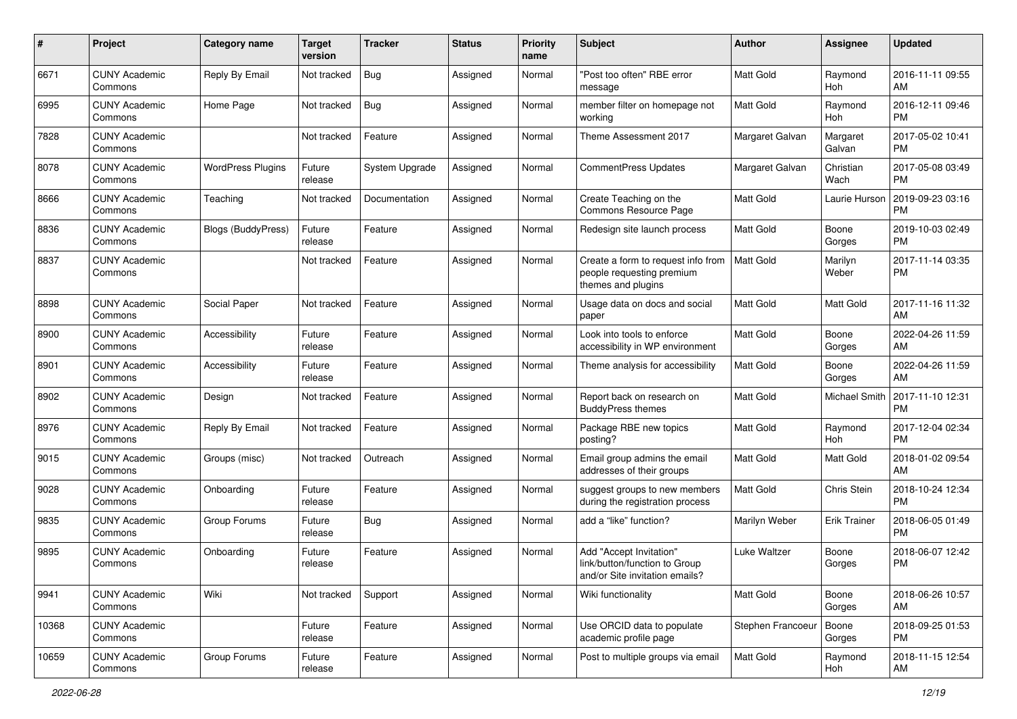| #     | Project                         | <b>Category name</b>      | <b>Target</b><br>version | <b>Tracker</b> | <b>Status</b> | <b>Priority</b><br>name | <b>Subject</b>                                                                             | Author            | <b>Assignee</b>    | <b>Updated</b>                |
|-------|---------------------------------|---------------------------|--------------------------|----------------|---------------|-------------------------|--------------------------------------------------------------------------------------------|-------------------|--------------------|-------------------------------|
| 6671  | <b>CUNY Academic</b><br>Commons | Reply By Email            | Not tracked              | Bug            | Assigned      | Normal                  | "Post too often" RBE error<br>message                                                      | Matt Gold         | Raymond<br>Hoh     | 2016-11-11 09:55<br>AM        |
| 6995  | <b>CUNY Academic</b><br>Commons | Home Page                 | Not tracked              | i Bug          | Assigned      | Normal                  | member filter on homepage not<br>working                                                   | <b>Matt Gold</b>  | Raymond<br>Hoh     | 2016-12-11 09:46<br>PМ        |
| 7828  | <b>CUNY Academic</b><br>Commons |                           | Not tracked              | Feature        | Assigned      | Normal                  | Theme Assessment 2017                                                                      | Margaret Galvan   | Margaret<br>Galvan | 2017-05-02 10:41<br><b>PM</b> |
| 8078  | <b>CUNY Academic</b><br>Commons | <b>WordPress Plugins</b>  | Future<br>release        | System Upgrade | Assigned      | Normal                  | CommentPress Updates                                                                       | Margaret Galvan   | Christian<br>Wach  | 2017-05-08 03:49<br><b>PM</b> |
| 8666  | <b>CUNY Academic</b><br>Commons | Teaching                  | Not tracked              | Documentation  | Assigned      | Normal                  | Create Teaching on the<br>Commons Resource Page                                            | Matt Gold         | Laurie Hurson      | 2019-09-23 03:16<br><b>PM</b> |
| 8836  | <b>CUNY Academic</b><br>Commons | <b>Blogs (BuddyPress)</b> | Future<br>release        | Feature        | Assigned      | Normal                  | Redesign site launch process                                                               | Matt Gold         | Boone<br>Gorges    | 2019-10-03 02:49<br>РM        |
| 8837  | <b>CUNY Academic</b><br>Commons |                           | Not tracked              | Feature        | Assigned      | Normal                  | Create a form to request info from<br>people requesting premium<br>themes and plugins      | Matt Gold         | Marilyn<br>Weber   | 2017-11-14 03:35<br>PM        |
| 8898  | <b>CUNY Academic</b><br>Commons | Social Paper              | Not tracked              | Feature        | Assigned      | Normal                  | Usage data on docs and social<br>paper                                                     | Matt Gold         | Matt Gold          | 2017-11-16 11:32<br>AM        |
| 8900  | <b>CUNY Academic</b><br>Commons | Accessibility             | Future<br>release        | Feature        | Assigned      | Normal                  | Look into tools to enforce<br>accessibility in WP environment                              | Matt Gold         | Boone<br>Gorges    | 2022-04-26 11:59<br>AM        |
| 8901  | <b>CUNY Academic</b><br>Commons | Accessibility             | Future<br>release        | Feature        | Assigned      | Normal                  | Theme analysis for accessibility                                                           | Matt Gold         | Boone<br>Gorges    | 2022-04-26 11:59<br>AM        |
| 8902  | <b>CUNY Academic</b><br>Commons | Design                    | Not tracked              | Feature        | Assigned      | Normal                  | Report back on research on<br><b>BuddyPress themes</b>                                     | Matt Gold         | Michael Smith      | 2017-11-10 12:31<br>РM        |
| 8976  | <b>CUNY Academic</b><br>Commons | Reply By Email            | Not tracked              | Feature        | Assigned      | Normal                  | Package RBE new topics<br>posting?                                                         | Matt Gold         | Raymond<br>Hoh     | 2017-12-04 02:34<br><b>PM</b> |
| 9015  | <b>CUNY Academic</b><br>Commons | Groups (misc)             | Not tracked              | Outreach       | Assigned      | Normal                  | Email group admins the email<br>addresses of their groups                                  | Matt Gold         | <b>Matt Gold</b>   | 2018-01-02 09:54<br>AM        |
| 9028  | <b>CUNY Academic</b><br>Commons | Onboarding                | Future<br>release        | Feature        | Assigned      | Normal                  | suggest groups to new members<br>during the registration process                           | Matt Gold         | Chris Stein        | 2018-10-24 12:34<br>РM        |
| 9835  | <b>CUNY Academic</b><br>Commons | Group Forums              | Future<br>release        | Bug            | Assigned      | Normal                  | add a "like" function?                                                                     | Marilyn Weber     | Erik Trainer       | 2018-06-05 01:49<br>РM        |
| 9895  | <b>CUNY Academic</b><br>Commons | Onboarding                | Future<br>release        | Feature        | Assigned      | Normal                  | Add "Accept Invitation"<br>link/button/function to Group<br>and/or Site invitation emails? | Luke Waltzer      | Boone<br>Gorges    | 2018-06-07 12:42<br><b>PM</b> |
| 9941  | <b>CUNY Academic</b><br>Commons | Wiki                      | Not tracked              | Support        | Assigned      | Normal                  | Wiki functionality                                                                         | <b>Matt Gold</b>  | Boone<br>Gorges    | 2018-06-26 10:57<br>AM        |
| 10368 | <b>CUNY Academic</b><br>Commons |                           | Future<br>release        | Feature        | Assigned      | Normal                  | Use ORCID data to populate<br>academic profile page                                        | Stephen Francoeur | Boone<br>Gorges    | 2018-09-25 01:53<br><b>PM</b> |
| 10659 | <b>CUNY Academic</b><br>Commons | Group Forums              | Future<br>release        | Feature        | Assigned      | Normal                  | Post to multiple groups via email                                                          | Matt Gold         | Raymond<br>Hoh     | 2018-11-15 12:54<br>AM        |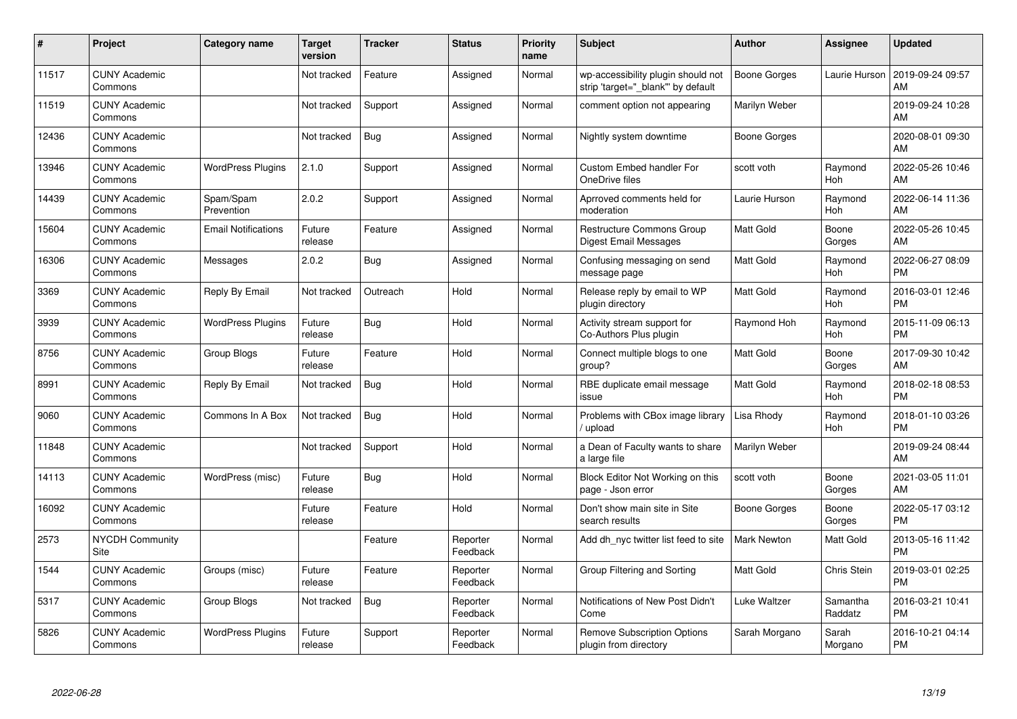| #     | Project                         | <b>Category name</b>       | <b>Target</b><br>version | <b>Tracker</b> | <b>Status</b>        | <b>Priority</b><br>name | <b>Subject</b>                                                          | <b>Author</b>       | <b>Assignee</b>       | <b>Updated</b>                |
|-------|---------------------------------|----------------------------|--------------------------|----------------|----------------------|-------------------------|-------------------------------------------------------------------------|---------------------|-----------------------|-------------------------------|
| 11517 | <b>CUNY Academic</b><br>Commons |                            | Not tracked              | Feature        | Assigned             | Normal                  | wp-accessibility plugin should not<br>strip 'target="_blank" by default | <b>Boone Gorges</b> | Laurie Hurson         | 2019-09-24 09:57<br>AM        |
| 11519 | <b>CUNY Academic</b><br>Commons |                            | Not tracked              | Support        | Assigned             | Normal                  | comment option not appearing                                            | Marilyn Weber       |                       | 2019-09-24 10:28<br>AM        |
| 12436 | <b>CUNY Academic</b><br>Commons |                            | Not tracked              | <b>Bug</b>     | Assigned             | Normal                  | Nightly system downtime                                                 | <b>Boone Gorges</b> |                       | 2020-08-01 09:30<br>AM        |
| 13946 | <b>CUNY Academic</b><br>Commons | <b>WordPress Plugins</b>   | 2.1.0                    | Support        | Assigned             | Normal                  | Custom Embed handler For<br>OneDrive files                              | scott voth          | Raymond<br><b>Hoh</b> | 2022-05-26 10:46<br>AM        |
| 14439 | <b>CUNY Academic</b><br>Commons | Spam/Spam<br>Prevention    | 2.0.2                    | Support        | Assigned             | Normal                  | Aprroved comments held for<br>moderation                                | Laurie Hurson       | Raymond<br><b>Hoh</b> | 2022-06-14 11:36<br>AM        |
| 15604 | <b>CUNY Academic</b><br>Commons | <b>Email Notifications</b> | Future<br>release        | Feature        | Assigned             | Normal                  | Restructure Commons Group<br><b>Digest Email Messages</b>               | Matt Gold           | Boone<br>Gorges       | 2022-05-26 10:45<br>AM        |
| 16306 | <b>CUNY Academic</b><br>Commons | Messages                   | 2.0.2                    | <b>Bug</b>     | Assigned             | Normal                  | Confusing messaging on send<br>message page                             | Matt Gold           | Raymond<br>Hoh        | 2022-06-27 08:09<br><b>PM</b> |
| 3369  | <b>CUNY Academic</b><br>Commons | Reply By Email             | Not tracked              | Outreach       | Hold                 | Normal                  | Release reply by email to WP<br>plugin directory                        | Matt Gold           | Raymond<br>Hoh        | 2016-03-01 12:46<br><b>PM</b> |
| 3939  | <b>CUNY Academic</b><br>Commons | <b>WordPress Plugins</b>   | Future<br>release        | <b>Bug</b>     | Hold                 | Normal                  | Activity stream support for<br>Co-Authors Plus plugin                   | Raymond Hoh         | Raymond<br>Hoh        | 2015-11-09 06:13<br><b>PM</b> |
| 8756  | <b>CUNY Academic</b><br>Commons | <b>Group Blogs</b>         | Future<br>release        | Feature        | Hold                 | Normal                  | Connect multiple blogs to one<br>group?                                 | Matt Gold           | Boone<br>Gorges       | 2017-09-30 10:42<br>AM        |
| 8991  | <b>CUNY Academic</b><br>Commons | Reply By Email             | Not tracked              | Bug            | Hold                 | Normal                  | RBE duplicate email message<br>issue                                    | Matt Gold           | Raymond<br>Hoh        | 2018-02-18 08:53<br><b>PM</b> |
| 9060  | <b>CUNY Academic</b><br>Commons | Commons In A Box           | Not tracked              | <b>Bug</b>     | Hold                 | Normal                  | Problems with CBox image library<br>upload                              | Lisa Rhody          | Raymond<br>Hoh        | 2018-01-10 03:26<br><b>PM</b> |
| 11848 | <b>CUNY Academic</b><br>Commons |                            | Not tracked              | Support        | Hold                 | Normal                  | a Dean of Faculty wants to share<br>a large file                        | Marilyn Weber       |                       | 2019-09-24 08:44<br>AM        |
| 14113 | <b>CUNY Academic</b><br>Commons | WordPress (misc)           | Future<br>release        | Bug            | Hold                 | Normal                  | Block Editor Not Working on this<br>page - Json error                   | scott voth          | Boone<br>Gorges       | 2021-03-05 11:01<br>AM        |
| 16092 | <b>CUNY Academic</b><br>Commons |                            | Future<br>release        | Feature        | Hold                 | Normal                  | Don't show main site in Site<br>search results                          | Boone Gorges        | Boone<br>Gorges       | 2022-05-17 03:12<br><b>PM</b> |
| 2573  | <b>NYCDH Community</b><br>Site  |                            |                          | Feature        | Reporter<br>Feedback | Normal                  | Add dh_nyc twitter list feed to site                                    | <b>Mark Newton</b>  | Matt Gold             | 2013-05-16 11:42<br><b>PM</b> |
| 1544  | <b>CUNY Academic</b><br>Commons | Groups (misc)              | Future<br>release        | Feature        | Reporter<br>Feedback | Normal                  | Group Filtering and Sorting                                             | <b>Matt Gold</b>    | Chris Stein           | 2019-03-01 02:25<br><b>PM</b> |
| 5317  | <b>CUNY Academic</b><br>Commons | Group Blogs                | Not tracked              | Bug            | Reporter<br>Feedback | Normal                  | Notifications of New Post Didn't<br>Come                                | Luke Waltzer        | Samantha<br>Raddatz   | 2016-03-21 10:41<br><b>PM</b> |
| 5826  | <b>CUNY Academic</b><br>Commons | <b>WordPress Plugins</b>   | Future<br>release        | Support        | Reporter<br>Feedback | Normal                  | <b>Remove Subscription Options</b><br>plugin from directory             | Sarah Morgano       | Sarah<br>Morgano      | 2016-10-21 04:14<br>PM        |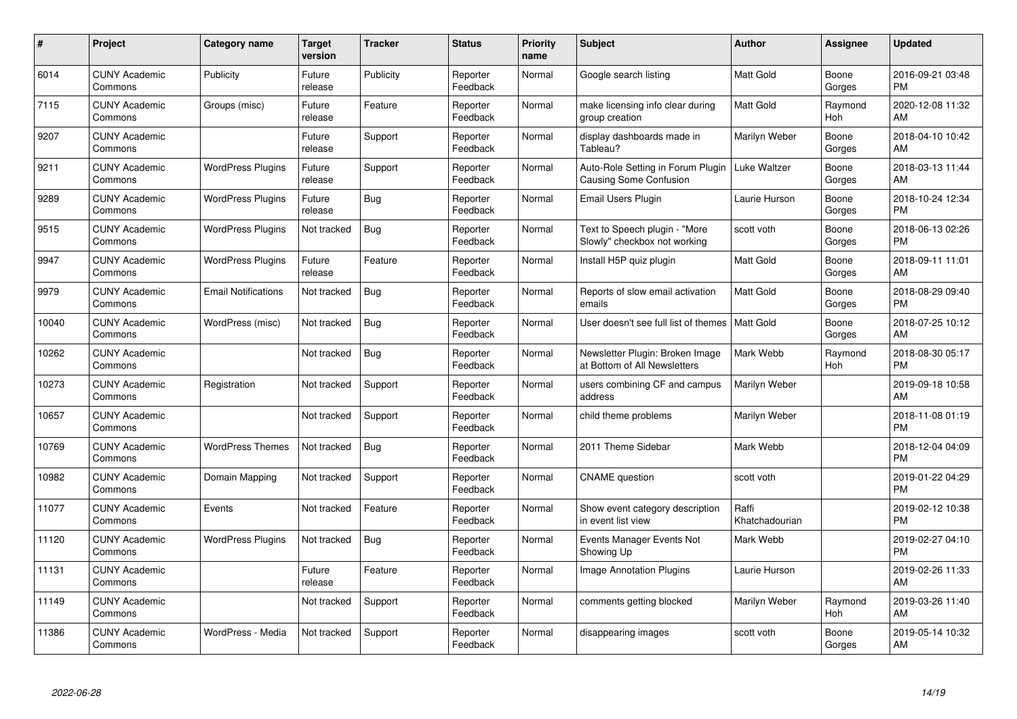| #     | Project                         | Category name              | <b>Target</b><br>version | <b>Tracker</b> | <b>Status</b>        | <b>Priority</b><br>name | <b>Subject</b>                                                     | <b>Author</b>           | Assignee        | <b>Updated</b>                |
|-------|---------------------------------|----------------------------|--------------------------|----------------|----------------------|-------------------------|--------------------------------------------------------------------|-------------------------|-----------------|-------------------------------|
| 6014  | <b>CUNY Academic</b><br>Commons | Publicity                  | Future<br>release        | Publicity      | Reporter<br>Feedback | Normal                  | Google search listing                                              | <b>Matt Gold</b>        | Boone<br>Gorges | 2016-09-21 03:48<br><b>PM</b> |
| 7115  | <b>CUNY Academic</b><br>Commons | Groups (misc)              | Future<br>release        | Feature        | Reporter<br>Feedback | Normal                  | make licensing info clear during<br>group creation                 | <b>Matt Gold</b>        | Raymond<br>Hoh  | 2020-12-08 11:32<br>AM        |
| 9207  | <b>CUNY Academic</b><br>Commons |                            | Future<br>release        | Support        | Reporter<br>Feedback | Normal                  | display dashboards made in<br>Tableau?                             | Marilyn Weber           | Boone<br>Gorges | 2018-04-10 10:42<br>AM        |
| 9211  | <b>CUNY Academic</b><br>Commons | <b>WordPress Plugins</b>   | Future<br>release        | Support        | Reporter<br>Feedback | Normal                  | Auto-Role Setting in Forum Plugin<br><b>Causing Some Confusion</b> | Luke Waltzer            | Boone<br>Gorges | 2018-03-13 11:44<br>AM        |
| 9289  | <b>CUNY Academic</b><br>Commons | <b>WordPress Plugins</b>   | Future<br>release        | <b>Bug</b>     | Reporter<br>Feedback | Normal                  | <b>Email Users Plugin</b>                                          | Laurie Hurson           | Boone<br>Gorges | 2018-10-24 12:34<br><b>PM</b> |
| 9515  | <b>CUNY Academic</b><br>Commons | <b>WordPress Plugins</b>   | Not tracked              | <b>Bug</b>     | Reporter<br>Feedback | Normal                  | Text to Speech plugin - "More<br>Slowly" checkbox not working      | scott voth              | Boone<br>Gorges | 2018-06-13 02:26<br><b>PM</b> |
| 9947  | <b>CUNY Academic</b><br>Commons | <b>WordPress Plugins</b>   | Future<br>release        | Feature        | Reporter<br>Feedback | Normal                  | Install H5P quiz plugin                                            | <b>Matt Gold</b>        | Boone<br>Gorges | 2018-09-11 11:01<br>AM        |
| 9979  | <b>CUNY Academic</b><br>Commons | <b>Email Notifications</b> | Not tracked              | Bug            | Reporter<br>Feedback | Normal                  | Reports of slow email activation<br>emails                         | <b>Matt Gold</b>        | Boone<br>Gorges | 2018-08-29 09:40<br><b>PM</b> |
| 10040 | <b>CUNY Academic</b><br>Commons | WordPress (misc)           | Not tracked              | <b>Bug</b>     | Reporter<br>Feedback | Normal                  | User doesn't see full list of themes   Matt Gold                   |                         | Boone<br>Gorges | 2018-07-25 10:12<br>AM        |
| 10262 | <b>CUNY Academic</b><br>Commons |                            | Not tracked              | Bug            | Reporter<br>Feedback | Normal                  | Newsletter Plugin: Broken Image<br>at Bottom of All Newsletters    | Mark Webb               | Raymond<br>Hoh  | 2018-08-30 05:17<br><b>PM</b> |
| 10273 | <b>CUNY Academic</b><br>Commons | Registration               | Not tracked              | Support        | Reporter<br>Feedback | Normal                  | users combining CF and campus<br>address                           | Marilyn Weber           |                 | 2019-09-18 10:58<br>AM        |
| 10657 | <b>CUNY Academic</b><br>Commons |                            | Not tracked              | Support        | Reporter<br>Feedback | Normal                  | child theme problems                                               | Marilyn Weber           |                 | 2018-11-08 01:19<br><b>PM</b> |
| 10769 | <b>CUNY Academic</b><br>Commons | <b>WordPress Themes</b>    | Not tracked              | <b>Bug</b>     | Reporter<br>Feedback | Normal                  | 2011 Theme Sidebar                                                 | Mark Webb               |                 | 2018-12-04 04:09<br><b>PM</b> |
| 10982 | <b>CUNY Academic</b><br>Commons | Domain Mapping             | Not tracked              | Support        | Reporter<br>Feedback | Normal                  | <b>CNAME</b> question                                              | scott voth              |                 | 2019-01-22 04:29<br><b>PM</b> |
| 11077 | <b>CUNY Academic</b><br>Commons | Events                     | Not tracked              | Feature        | Reporter<br>Feedback | Normal                  | Show event category description<br>in event list view              | Raffi<br>Khatchadourian |                 | 2019-02-12 10:38<br><b>PM</b> |
| 11120 | <b>CUNY Academic</b><br>Commons | <b>WordPress Plugins</b>   | Not tracked              | Bug            | Reporter<br>Feedback | Normal                  | Events Manager Events Not<br>Showing Up                            | Mark Webb               |                 | 2019-02-27 04:10<br><b>PM</b> |
| 11131 | <b>CUNY Academic</b><br>Commons |                            | Future<br>release        | Feature        | Reporter<br>Feedback | Normal                  | <b>Image Annotation Plugins</b>                                    | Laurie Hurson           |                 | 2019-02-26 11:33<br>AM        |
| 11149 | <b>CUNY Academic</b><br>Commons |                            | Not tracked              | Support        | Reporter<br>Feedback | Normal                  | comments getting blocked                                           | Marilyn Weber           | Raymond<br>Hoh  | 2019-03-26 11:40<br>AM        |
| 11386 | <b>CUNY Academic</b><br>Commons | WordPress - Media          | Not tracked              | Support        | Reporter<br>Feedback | Normal                  | disappearing images                                                | scott voth              | Boone<br>Gorges | 2019-05-14 10:32<br>AM        |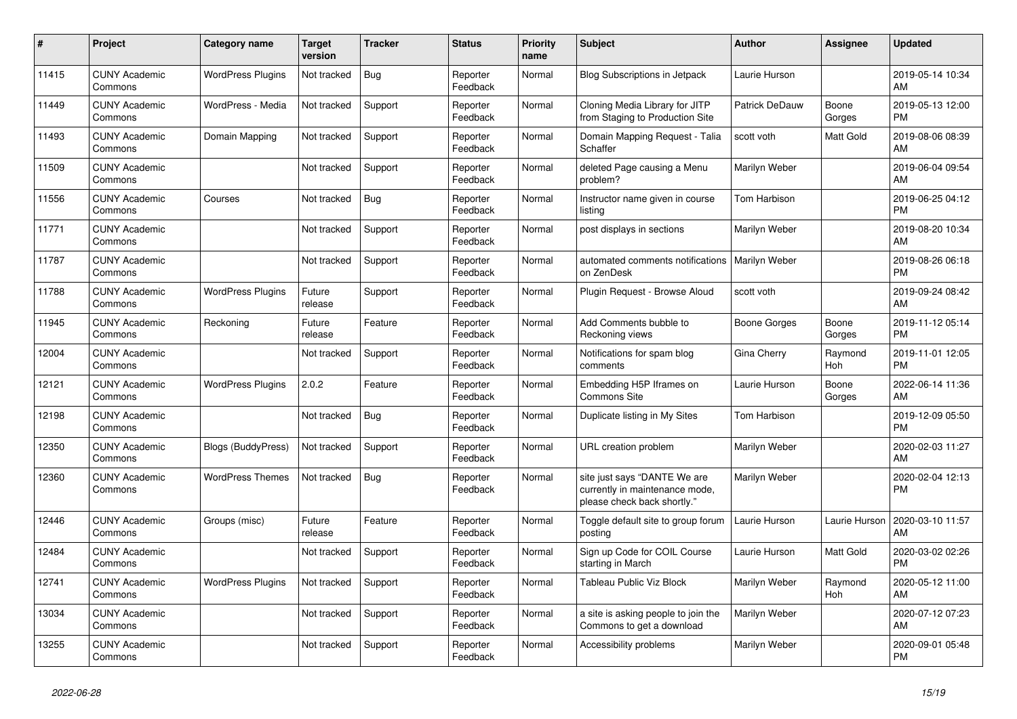| #     | <b>Project</b>                  | Category name             | <b>Target</b><br>version | <b>Tracker</b> | <b>Status</b>        | <b>Priority</b><br>name | <b>Subject</b>                                                                                | <b>Author</b>        | <b>Assignee</b>  | <b>Updated</b>                |
|-------|---------------------------------|---------------------------|--------------------------|----------------|----------------------|-------------------------|-----------------------------------------------------------------------------------------------|----------------------|------------------|-------------------------------|
| 11415 | <b>CUNY Academic</b><br>Commons | <b>WordPress Plugins</b>  | Not tracked              | Bug            | Reporter<br>Feedback | Normal                  | <b>Blog Subscriptions in Jetpack</b>                                                          | Laurie Hurson        |                  | 2019-05-14 10:34<br>AM        |
| 11449 | <b>CUNY Academic</b><br>Commons | WordPress - Media         | Not tracked              | Support        | Reporter<br>Feedback | Normal                  | Cloning Media Library for JITP<br>from Staging to Production Site                             | Patrick DeDauw       | Boone<br>Gorges  | 2019-05-13 12:00<br><b>PM</b> |
| 11493 | <b>CUNY Academic</b><br>Commons | Domain Mapping            | Not tracked              | Support        | Reporter<br>Feedback | Normal                  | Domain Mapping Request - Talia<br>Schaffer                                                    | scott voth           | <b>Matt Gold</b> | 2019-08-06 08:39<br>AM        |
| 11509 | <b>CUNY Academic</b><br>Commons |                           | Not tracked              | Support        | Reporter<br>Feedback | Normal                  | deleted Page causing a Menu<br>problem?                                                       | Marilyn Weber        |                  | 2019-06-04 09:54<br>AM        |
| 11556 | <b>CUNY Academic</b><br>Commons | Courses                   | Not tracked              | Bug            | Reporter<br>Feedback | Normal                  | Instructor name given in course<br>listing                                                    | Tom Harbison         |                  | 2019-06-25 04:12<br><b>PM</b> |
| 11771 | <b>CUNY Academic</b><br>Commons |                           | Not tracked              | Support        | Reporter<br>Feedback | Normal                  | post displays in sections                                                                     | Marilyn Weber        |                  | 2019-08-20 10:34<br>AM        |
| 11787 | <b>CUNY Academic</b><br>Commons |                           | Not tracked              | Support        | Reporter<br>Feedback | Normal                  | automated comments notifications<br>on ZenDesk                                                | <b>Marilyn Weber</b> |                  | 2019-08-26 06:18<br><b>PM</b> |
| 11788 | <b>CUNY Academic</b><br>Commons | <b>WordPress Plugins</b>  | Future<br>release        | Support        | Reporter<br>Feedback | Normal                  | Plugin Request - Browse Aloud                                                                 | scott voth           |                  | 2019-09-24 08:42<br>AM        |
| 11945 | <b>CUNY Academic</b><br>Commons | Reckoning                 | Future<br>release        | Feature        | Reporter<br>Feedback | Normal                  | Add Comments bubble to<br>Reckoning views                                                     | Boone Gorges         | Boone<br>Gorges  | 2019-11-12 05:14<br><b>PM</b> |
| 12004 | <b>CUNY Academic</b><br>Commons |                           | Not tracked              | Support        | Reporter<br>Feedback | Normal                  | Notifications for spam blog<br>comments                                                       | Gina Cherry          | Raymond<br>Hoh   | 2019-11-01 12:05<br><b>PM</b> |
| 12121 | <b>CUNY Academic</b><br>Commons | <b>WordPress Plugins</b>  | 2.0.2                    | Feature        | Reporter<br>Feedback | Normal                  | Embedding H5P Iframes on<br><b>Commons Site</b>                                               | Laurie Hurson        | Boone<br>Gorges  | 2022-06-14 11:36<br>AM        |
| 12198 | <b>CUNY Academic</b><br>Commons |                           | Not tracked              | <b>Bug</b>     | Reporter<br>Feedback | Normal                  | Duplicate listing in My Sites                                                                 | Tom Harbison         |                  | 2019-12-09 05:50<br><b>PM</b> |
| 12350 | <b>CUNY Academic</b><br>Commons | <b>Blogs (BuddyPress)</b> | Not tracked              | Support        | Reporter<br>Feedback | Normal                  | URL creation problem                                                                          | Marilyn Weber        |                  | 2020-02-03 11:27<br>AM        |
| 12360 | <b>CUNY Academic</b><br>Commons | <b>WordPress Themes</b>   | Not tracked              | Bug            | Reporter<br>Feedback | Normal                  | site just says "DANTE We are<br>currently in maintenance mode,<br>please check back shortly." | Marilyn Weber        |                  | 2020-02-04 12:13<br><b>PM</b> |
| 12446 | <b>CUNY Academic</b><br>Commons | Groups (misc)             | Future<br>release        | Feature        | Reporter<br>Feedback | Normal                  | Toggle default site to group forum<br>posting                                                 | Laurie Hurson        | Laurie Hurson    | 2020-03-10 11:57<br>AM        |
| 12484 | <b>CUNY Academic</b><br>Commons |                           | Not tracked              | Support        | Reporter<br>Feedback | Normal                  | Sign up Code for COIL Course<br>starting in March                                             | Laurie Hurson        | Matt Gold        | 2020-03-02 02:26<br><b>PM</b> |
| 12741 | <b>CUNY Academic</b><br>Commons | <b>WordPress Plugins</b>  | Not tracked              | Support        | Reporter<br>Feedback | Normal                  | <b>Tableau Public Viz Block</b>                                                               | Marilyn Weber        | Raymond<br>Hoh   | 2020-05-12 11:00<br>AM        |
| 13034 | <b>CUNY Academic</b><br>Commons |                           | Not tracked              | Support        | Reporter<br>Feedback | Normal                  | a site is asking people to join the<br>Commons to get a download                              | Marilyn Weber        |                  | 2020-07-12 07:23<br>AM        |
| 13255 | <b>CUNY Academic</b><br>Commons |                           | Not tracked              | Support        | Reporter<br>Feedback | Normal                  | Accessibility problems                                                                        | Marilyn Weber        |                  | 2020-09-01 05:48<br><b>PM</b> |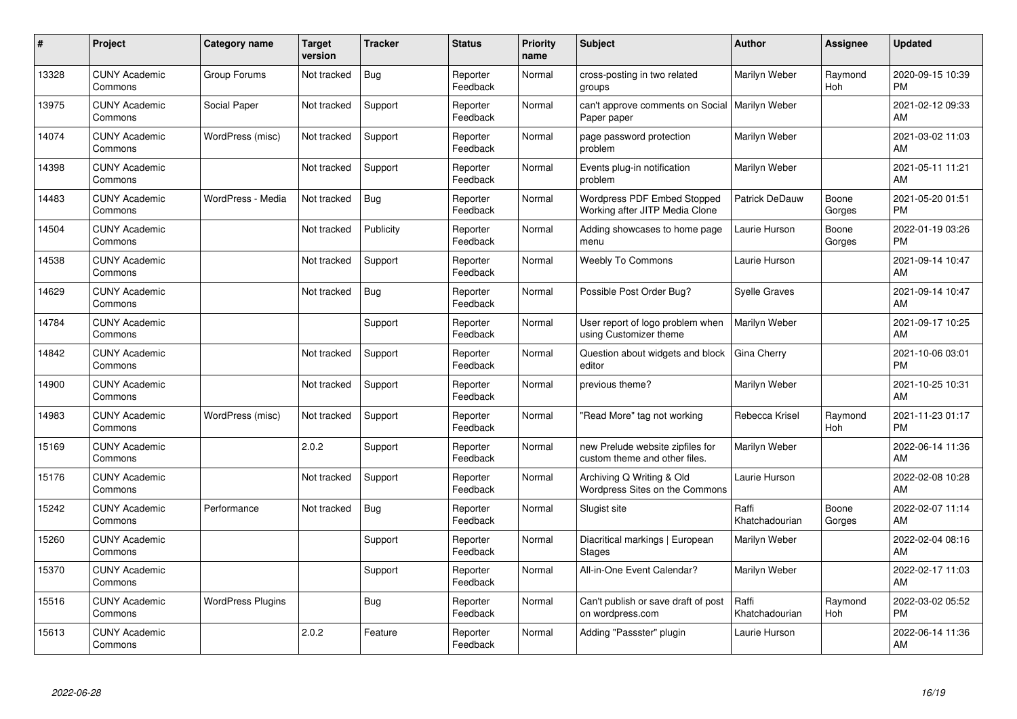| #     | Project                         | Category name            | <b>Target</b><br>version | <b>Tracker</b> | <b>Status</b>        | <b>Priority</b><br>name | <b>Subject</b>                                                    | <b>Author</b>           | Assignee        | <b>Updated</b>                |
|-------|---------------------------------|--------------------------|--------------------------|----------------|----------------------|-------------------------|-------------------------------------------------------------------|-------------------------|-----------------|-------------------------------|
| 13328 | <b>CUNY Academic</b><br>Commons | Group Forums             | Not tracked              | <b>Bug</b>     | Reporter<br>Feedback | Normal                  | cross-posting in two related<br>groups                            | Marilyn Weber           | Raymond<br>Hoh  | 2020-09-15 10:39<br><b>PM</b> |
| 13975 | <b>CUNY Academic</b><br>Commons | Social Paper             | Not tracked              | Support        | Reporter<br>Feedback | Normal                  | can't approve comments on Social   Marilyn Weber<br>Paper paper   |                         |                 | 2021-02-12 09:33<br>AM        |
| 14074 | <b>CUNY Academic</b><br>Commons | WordPress (misc)         | Not tracked              | Support        | Reporter<br>Feedback | Normal                  | page password protection<br>problem                               | Marilyn Weber           |                 | 2021-03-02 11:03<br>AM        |
| 14398 | <b>CUNY Academic</b><br>Commons |                          | Not tracked              | Support        | Reporter<br>Feedback | Normal                  | Events plug-in notification<br>problem                            | Marilyn Weber           |                 | 2021-05-11 11:21<br>AM        |
| 14483 | <b>CUNY Academic</b><br>Commons | WordPress - Media        | Not tracked              | <b>Bug</b>     | Reporter<br>Feedback | Normal                  | Wordpress PDF Embed Stopped<br>Working after JITP Media Clone     | Patrick DeDauw          | Boone<br>Gorges | 2021-05-20 01:51<br><b>PM</b> |
| 14504 | <b>CUNY Academic</b><br>Commons |                          | Not tracked              | Publicity      | Reporter<br>Feedback | Normal                  | Adding showcases to home page<br>menu                             | Laurie Hurson           | Boone<br>Gorges | 2022-01-19 03:26<br><b>PM</b> |
| 14538 | <b>CUNY Academic</b><br>Commons |                          | Not tracked              | Support        | Reporter<br>Feedback | Normal                  | <b>Weebly To Commons</b>                                          | Laurie Hurson           |                 | 2021-09-14 10:47<br>AM        |
| 14629 | <b>CUNY Academic</b><br>Commons |                          | Not tracked              | <b>Bug</b>     | Reporter<br>Feedback | Normal                  | Possible Post Order Bug?                                          | Syelle Graves           |                 | 2021-09-14 10:47<br>AM        |
| 14784 | <b>CUNY Academic</b><br>Commons |                          |                          | Support        | Reporter<br>Feedback | Normal                  | User report of logo problem when<br>using Customizer theme        | Marilyn Weber           |                 | 2021-09-17 10:25<br>AM        |
| 14842 | <b>CUNY Academic</b><br>Commons |                          | Not tracked              | Support        | Reporter<br>Feedback | Normal                  | Question about widgets and block<br>editor                        | Gina Cherry             |                 | 2021-10-06 03:01<br><b>PM</b> |
| 14900 | <b>CUNY Academic</b><br>Commons |                          | Not tracked              | Support        | Reporter<br>Feedback | Normal                  | previous theme?                                                   | Marilyn Weber           |                 | 2021-10-25 10:31<br>AM        |
| 14983 | <b>CUNY Academic</b><br>Commons | WordPress (misc)         | Not tracked              | Support        | Reporter<br>Feedback | Normal                  | 'Read More" tag not working                                       | Rebecca Krisel          | Raymond<br>Hoh  | 2021-11-23 01:17<br><b>PM</b> |
| 15169 | <b>CUNY Academic</b><br>Commons |                          | 2.0.2                    | Support        | Reporter<br>Feedback | Normal                  | new Prelude website zipfiles for<br>custom theme and other files. | Marilyn Weber           |                 | 2022-06-14 11:36<br>AM        |
| 15176 | <b>CUNY Academic</b><br>Commons |                          | Not tracked              | Support        | Reporter<br>Feedback | Normal                  | Archiving Q Writing & Old<br>Wordpress Sites on the Commons       | Laurie Hurson           |                 | 2022-02-08 10:28<br>AM        |
| 15242 | <b>CUNY Academic</b><br>Commons | Performance              | Not tracked              | <b>Bug</b>     | Reporter<br>Feedback | Normal                  | Slugist site                                                      | Raffi<br>Khatchadourian | Boone<br>Gorges | 2022-02-07 11:14<br>AM        |
| 15260 | <b>CUNY Academic</b><br>Commons |                          |                          | Support        | Reporter<br>Feedback | Normal                  | Diacritical markings   European<br><b>Stages</b>                  | Marilyn Weber           |                 | 2022-02-04 08:16<br>AM        |
| 15370 | <b>CUNY Academic</b><br>Commons |                          |                          | Support        | Reporter<br>Feedback | Normal                  | All-in-One Event Calendar?                                        | Marilyn Weber           |                 | 2022-02-17 11:03<br>AM        |
| 15516 | <b>CUNY Academic</b><br>Commons | <b>WordPress Plugins</b> |                          | Bug            | Reporter<br>Feedback | Normal                  | Can't publish or save draft of post<br>on wordpress.com           | Raffi<br>Khatchadourian | Raymond<br>Hoh  | 2022-03-02 05:52<br><b>PM</b> |
| 15613 | <b>CUNY Academic</b><br>Commons |                          | 2.0.2                    | Feature        | Reporter<br>Feedback | Normal                  | Adding "Passster" plugin                                          | Laurie Hurson           |                 | 2022-06-14 11:36<br>AM        |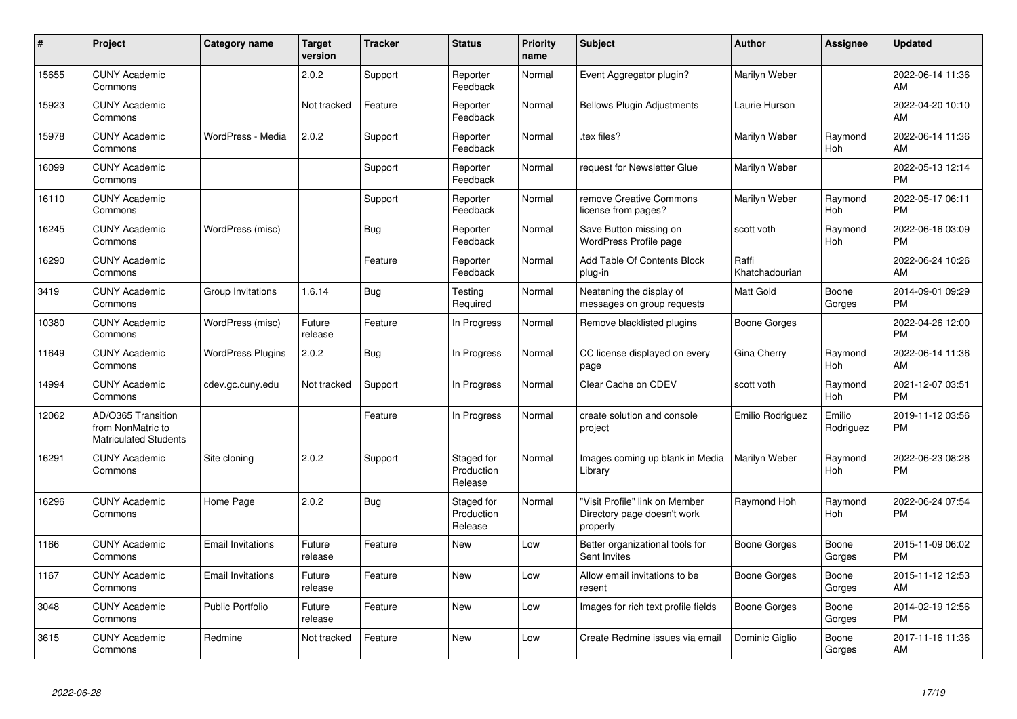| #     | Project                                                                 | Category name            | Target<br>version | <b>Tracker</b> | <b>Status</b>                       | <b>Priority</b><br>name | <b>Subject</b>                                                            | <b>Author</b>           | <b>Assignee</b>       | <b>Updated</b>                |
|-------|-------------------------------------------------------------------------|--------------------------|-------------------|----------------|-------------------------------------|-------------------------|---------------------------------------------------------------------------|-------------------------|-----------------------|-------------------------------|
| 15655 | <b>CUNY Academic</b><br>Commons                                         |                          | 2.0.2             | Support        | Reporter<br>Feedback                | Normal                  | Event Aggregator plugin?                                                  | Marilyn Weber           |                       | 2022-06-14 11:36<br>AM        |
| 15923 | <b>CUNY Academic</b><br>Commons                                         |                          | Not tracked       | Feature        | Reporter<br>Feedback                | Normal                  | <b>Bellows Plugin Adjustments</b>                                         | Laurie Hurson           |                       | 2022-04-20 10:10<br>AM        |
| 15978 | <b>CUNY Academic</b><br>Commons                                         | WordPress - Media        | 2.0.2             | Support        | Reporter<br>Feedback                | Normal                  | tex files?                                                                | Marilyn Weber           | Raymond<br>Hoh        | 2022-06-14 11:36<br>AM        |
| 16099 | <b>CUNY Academic</b><br>Commons                                         |                          |                   | Support        | Reporter<br>Feedback                | Normal                  | request for Newsletter Glue                                               | Marilyn Weber           |                       | 2022-05-13 12:14<br><b>PM</b> |
| 16110 | <b>CUNY Academic</b><br>Commons                                         |                          |                   | Support        | Reporter<br>Feedback                | Normal                  | remove Creative Commons<br>license from pages?                            | Marilyn Weber           | Raymond<br><b>Hoh</b> | 2022-05-17 06:11<br><b>PM</b> |
| 16245 | <b>CUNY Academic</b><br>Commons                                         | WordPress (misc)         |                   | <b>Bug</b>     | Reporter<br>Feedback                | Normal                  | Save Button missing on<br>WordPress Profile page                          | scott voth              | Raymond<br><b>Hoh</b> | 2022-06-16 03:09<br><b>PM</b> |
| 16290 | <b>CUNY Academic</b><br>Commons                                         |                          |                   | Feature        | Reporter<br>Feedback                | Normal                  | Add Table Of Contents Block<br>plug-in                                    | Raffi<br>Khatchadourian |                       | 2022-06-24 10:26<br>AM        |
| 3419  | <b>CUNY Academic</b><br>Commons                                         | Group Invitations        | 1.6.14            | <b>Bug</b>     | Testing<br>Required                 | Normal                  | Neatening the display of<br>messages on group requests                    | Matt Gold               | Boone<br>Gorges       | 2014-09-01 09:29<br><b>PM</b> |
| 10380 | <b>CUNY Academic</b><br>Commons                                         | WordPress (misc)         | Future<br>release | Feature        | In Progress                         | Normal                  | Remove blacklisted plugins                                                | <b>Boone Gorges</b>     |                       | 2022-04-26 12:00<br><b>PM</b> |
| 11649 | <b>CUNY Academic</b><br>Commons                                         | <b>WordPress Plugins</b> | 2.0.2             | Bug            | In Progress                         | Normal                  | CC license displayed on every<br>page                                     | Gina Cherry             | Raymond<br><b>Hoh</b> | 2022-06-14 11:36<br>AM        |
| 14994 | <b>CUNY Academic</b><br>Commons                                         | cdev.gc.cuny.edu         | Not tracked       | Support        | In Progress                         | Normal                  | Clear Cache on CDEV                                                       | scott voth              | Raymond<br><b>Hoh</b> | 2021-12-07 03:51<br><b>PM</b> |
| 12062 | AD/O365 Transition<br>from NonMatric to<br><b>Matriculated Students</b> |                          |                   | Feature        | In Progress                         | Normal                  | create solution and console<br>project                                    | Emilio Rodriguez        | Emilio<br>Rodriguez   | 2019-11-12 03:56<br><b>PM</b> |
| 16291 | <b>CUNY Academic</b><br>Commons                                         | Site cloning             | 2.0.2             | Support        | Staged for<br>Production<br>Release | Normal                  | Images coming up blank in Media<br>Library                                | Marilyn Weber           | Raymond<br>Hoh        | 2022-06-23 08:28<br><b>PM</b> |
| 16296 | <b>CUNY Academic</b><br>Commons                                         | Home Page                | 2.0.2             | Bug            | Staged for<br>Production<br>Release | Normal                  | "Visit Profile" link on Member<br>Directory page doesn't work<br>properly | Raymond Hoh             | Raymond<br><b>Hoh</b> | 2022-06-24 07:54<br><b>PM</b> |
| 1166  | <b>CUNY Academic</b><br>Commons                                         | <b>Email Invitations</b> | Future<br>release | Feature        | <b>New</b>                          | Low                     | Better organizational tools for<br>Sent Invites                           | <b>Boone Gorges</b>     | Boone<br>Gorges       | 2015-11-09 06:02<br><b>PM</b> |
| 1167  | <b>CUNY Academic</b><br>Commons                                         | <b>Email Invitations</b> | Future<br>release | Feature        | <b>New</b>                          | Low                     | Allow email invitations to be<br>resent                                   | <b>Boone Gorges</b>     | Boone<br>Gorges       | 2015-11-12 12:53<br>AM        |
| 3048  | <b>CUNY Academic</b><br>Commons                                         | Public Portfolio         | Future<br>release | Feature        | New                                 | Low                     | Images for rich text profile fields                                       | Boone Gorges            | Boone<br>Gorges       | 2014-02-19 12:56<br><b>PM</b> |
| 3615  | <b>CUNY Academic</b><br>Commons                                         | Redmine                  | Not tracked       | Feature        | <b>New</b>                          | Low                     | Create Redmine issues via email                                           | Dominic Giglio          | Boone<br>Gorges       | 2017-11-16 11:36<br>AM        |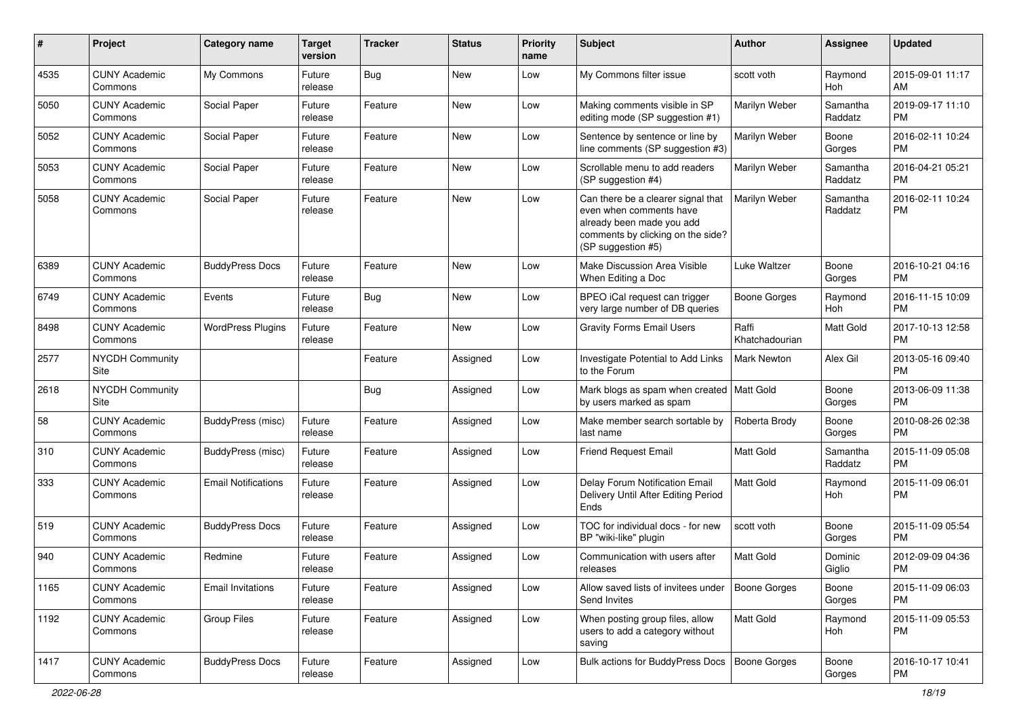| #    | Project                         | <b>Category name</b>       | Target<br>version | <b>Tracker</b> | <b>Status</b> | <b>Priority</b><br>name | Subject                                                                                                                                               | <b>Author</b>           | <b>Assignee</b>     | <b>Updated</b>                |
|------|---------------------------------|----------------------------|-------------------|----------------|---------------|-------------------------|-------------------------------------------------------------------------------------------------------------------------------------------------------|-------------------------|---------------------|-------------------------------|
| 4535 | <b>CUNY Academic</b><br>Commons | My Commons                 | Future<br>release | <b>Bug</b>     | <b>New</b>    | Low                     | My Commons filter issue                                                                                                                               | scott voth              | Raymond<br>Hoh      | 2015-09-01 11:17<br>AM        |
| 5050 | <b>CUNY Academic</b><br>Commons | Social Paper               | Future<br>release | Feature        | New           | Low                     | Making comments visible in SP<br>editing mode (SP suggestion #1)                                                                                      | Marilyn Weber           | Samantha<br>Raddatz | 2019-09-17 11:10<br><b>PM</b> |
| 5052 | <b>CUNY Academic</b><br>Commons | Social Paper               | Future<br>release | Feature        | New           | Low                     | Sentence by sentence or line by<br>line comments (SP suggestion #3)                                                                                   | Marilyn Weber           | Boone<br>Gorges     | 2016-02-11 10:24<br><b>PM</b> |
| 5053 | <b>CUNY Academic</b><br>Commons | Social Paper               | Future<br>release | Feature        | <b>New</b>    | Low                     | Scrollable menu to add readers<br>(SP suggestion #4)                                                                                                  | Marilyn Weber           | Samantha<br>Raddatz | 2016-04-21 05:21<br><b>PM</b> |
| 5058 | <b>CUNY Academic</b><br>Commons | Social Paper               | Future<br>release | Feature        | New           | Low                     | Can there be a clearer signal that<br>even when comments have<br>already been made you add<br>comments by clicking on the side?<br>(SP suggestion #5) | Marilyn Weber           | Samantha<br>Raddatz | 2016-02-11 10:24<br><b>PM</b> |
| 6389 | <b>CUNY Academic</b><br>Commons | <b>BuddyPress Docs</b>     | Future<br>release | Feature        | New           | Low                     | Make Discussion Area Visible<br>When Editing a Doc                                                                                                    | Luke Waltzer            | Boone<br>Gorges     | 2016-10-21 04:16<br><b>PM</b> |
| 6749 | <b>CUNY Academic</b><br>Commons | Events                     | Future<br>release | <b>Bug</b>     | New           | Low                     | BPEO iCal request can trigger<br>very large number of DB queries                                                                                      | <b>Boone Gorges</b>     | Raymond<br>Hoh      | 2016-11-15 10:09<br><b>PM</b> |
| 8498 | <b>CUNY Academic</b><br>Commons | <b>WordPress Plugins</b>   | Future<br>release | Feature        | <b>New</b>    | Low                     | <b>Gravity Forms Email Users</b>                                                                                                                      | Raffi<br>Khatchadourian | <b>Matt Gold</b>    | 2017-10-13 12:58<br><b>PM</b> |
| 2577 | <b>NYCDH Community</b><br>Site  |                            |                   | Feature        | Assigned      | Low                     | Investigate Potential to Add Links<br>to the Forum                                                                                                    | <b>Mark Newton</b>      | Alex Gil            | 2013-05-16 09:40<br><b>PM</b> |
| 2618 | NYCDH Community<br>Site         |                            |                   | <b>Bug</b>     | Assigned      | Low                     | Mark blogs as spam when created   Matt Gold<br>by users marked as spam                                                                                |                         | Boone<br>Gorges     | 2013-06-09 11:38<br><b>PM</b> |
| 58   | <b>CUNY Academic</b><br>Commons | BuddyPress (misc)          | Future<br>release | Feature        | Assigned      | Low                     | Make member search sortable by<br>last name                                                                                                           | Roberta Brody           | Boone<br>Gorges     | 2010-08-26 02:38<br><b>PM</b> |
| 310  | <b>CUNY Academic</b><br>Commons | BuddyPress (misc)          | Future<br>release | Feature        | Assigned      | Low                     | <b>Friend Request Email</b>                                                                                                                           | <b>Matt Gold</b>        | Samantha<br>Raddatz | 2015-11-09 05:08<br><b>PM</b> |
| 333  | <b>CUNY Academic</b><br>Commons | <b>Email Notifications</b> | Future<br>release | Feature        | Assigned      | Low                     | Delay Forum Notification Email<br>Delivery Until After Editing Period<br>Ends                                                                         | <b>Matt Gold</b>        | Raymond<br>Hoh      | 2015-11-09 06:01<br><b>PM</b> |
| 519  | <b>CUNY Academic</b><br>Commons | <b>BuddyPress Docs</b>     | Future<br>release | Feature        | Assigned      | Low                     | TOC for individual docs - for new<br>BP "wiki-like" plugin                                                                                            | scott voth              | Boone<br>Gorges     | 2015-11-09 05:54<br><b>PM</b> |
| 940  | <b>CUNY Academic</b><br>Commons | Redmine                    | Future<br>release | Feature        | Assigned      | Low                     | Communication with users after<br>releases                                                                                                            | Matt Gold               | Dominic<br>Giglio   | 2012-09-09 04:36<br><b>PM</b> |
| 1165 | <b>CUNY Academic</b><br>Commons | <b>Email Invitations</b>   | Future<br>release | Feature        | Assigned      | Low                     | Allow saved lists of invitees under<br>Send Invites                                                                                                   | <b>Boone Gorges</b>     | Boone<br>Gorges     | 2015-11-09 06:03<br><b>PM</b> |
| 1192 | <b>CUNY Academic</b><br>Commons | Group Files                | Future<br>release | Feature        | Assigned      | Low                     | When posting group files, allow<br>users to add a category without<br>saving                                                                          | Matt Gold               | Raymond<br>Hoh      | 2015-11-09 05:53<br>PM        |
| 1417 | <b>CUNY Academic</b><br>Commons | <b>BuddyPress Docs</b>     | Future<br>release | Feature        | Assigned      | Low                     | Bulk actions for BuddyPress Docs                                                                                                                      | Boone Gorges            | Boone<br>Gorges     | 2016-10-17 10:41<br>PM        |